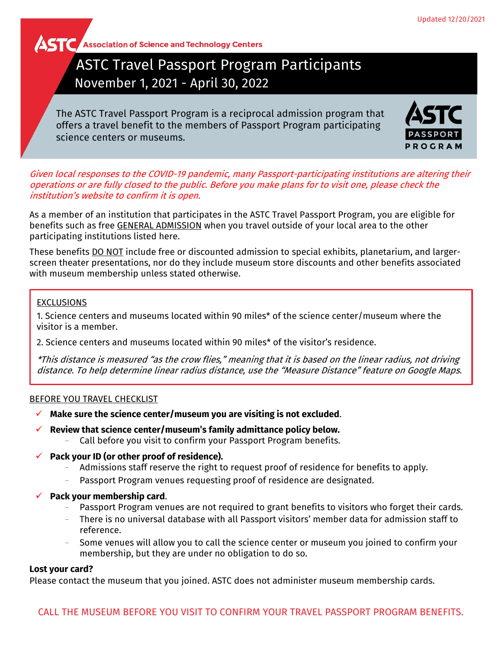**AST C** Association of Science and Technology Centers

# ASTC Travel Passport Program Participants November 1, 2021 - April 30, 2022

The ASTC Travel Passport Program is a reciprocal admission program that offers a travel benefit to the members of Passport Program participating science centers or museums.



Given local responses to the COVID-19 pandemic, many Passport-participating institutions are altering their operations or are fully closed to the public. Before you make plans for to visit one, please check the institution's website to confirm it is open.

As a member of an institution that participates in the ASTC Travel Passport Program, you are eligible for benefits such as free GENERAL ADMISSION when you travel outside of your local area to the other participating institutions listed here.

These benefits DO NOT include free or discounted admission to special exhibits, planetarium, and largerscreen theater presentations, nor do they include museum store discounts and other benefits associated with museum membership unless stated otherwise.

# EXCLUSIONS

1. Science centers and museums located within 90 miles\* of the science center/museum where the visitor is a member.

2. Science centers and museums located within 90 miles\* of the visitor's residence.

\*This distance is measured "as the crow flies," meaning that it is based on the linear radius, not driving distance. To help determine linear radius distance, use the "Measure Distance" feature on Google Maps.

# BEFORE YOU TRAVEL CHECKLIST

- **Make sure the science center/museum you are visiting is not excluded**.
- **Review that science center/museum's family admittance policy below.**
	- − Call before you visit to confirm your Passport Program benefits.
- **Pack your ID (or other proof of residence).**
	- − Admissions staff reserve the right to request proof of residence for benefits to apply.
	- − Passport Program venues requesting proof of residence are designated.
- **Pack your membership card**.
	- Passport Program venues are not required to grant benefits to visitors who forget their cards.
	- − There is no universal database with all Passport visitors' member data for admission staff to reference.
	- Some venues will allow you to call the science center or museum you joined to confirm your membership, but they are under no obligation to do so.

# **Lost your card?**

Please contact the museum that you joined. ASTC does not administer museum membership cards.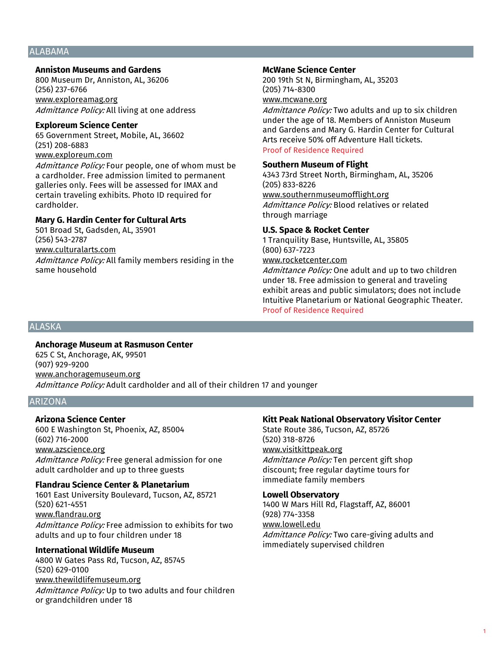# ALABAMA

#### **Anniston Museums and Gardens**

800 Museum Dr, Anniston, AL, 36206 (256) 237-6766 www.exploreamag.org Admittance Policy: All living at one address

#### **Exploreum Science Center**

65 Government Street, Mobile, AL, 36602 (251) 208-6883 www.exploreum.com Admittance Policy: Four people, one of whom must be a cardholder. Free admission limited to permanent

galleries only. Fees will be assessed for IMAX and certain traveling exhibits. Photo ID required for cardholder.

# **Mary G. Hardin Center for Cultural Arts**

501 Broad St, Gadsden, AL, 35901 (256) 543-2787 www.culturalarts.com Admittance Policy: All family members residing in the same household

#### **McWane Science Center**

200 19th St N, Birmingham, AL, 35203 (205) 714-8300 www.mcwane.org

Admittance Policy: Two adults and up to six children under the age of 18. Members of Anniston Museum and Gardens and Mary G. Hardin Center for Cultural Arts receive 50% off Adventure Hall tickets. Proof of Residence Required

#### **Southern Museum of Flight**

4343 73rd Street North, Birmingham, AL, 35206 (205) 833-8226 www.southernmuseumofflight.org Admittance Policy: Blood relatives or related through marriage

#### **U.S. Space & Rocket Center**

1 Tranquility Base, Huntsville, AL, 35805 (800) 637-7223 www.rocketcenter.com

Admittance Policy: One adult and up to two children under 18. Free admission to general and traveling exhibit areas and public simulators; does not include Intuitive Planetarium or National Geographic Theater. Proof of Residence Required

#### ALASKA

#### **Anchorage Museum at Rasmuson Center**

625 C St, Anchorage, AK, 99501 (907) 929-9200 www.anchoragemuseum.org Admittance Policy: Adult cardholder and all of their children 17 and younger

# ARIZONA

#### **Arizona Science Center**

600 E Washington St, Phoenix, AZ, 85004 (602) 716-2000 www.azscience.org Admittance Policy: Free general admission for one adult cardholder and up to three guests

#### **Flandrau Science Center & Planetarium**

1601 East University Boulevard, Tucson, AZ, 85721 (520) 621-4551 www.flandrau.org Admittance Policy: Free admission to exhibits for two adults and up to four children under 18

# **International Wildlife Museum**

4800 W Gates Pass Rd, Tucson, AZ, 85745 (520) 629-0100 www.thewildlifemuseum.org Admittance Policy: Up to two adults and four children or grandchildren under 18

# **Kitt Peak National Observatory Visitor Center**

State Route 386, Tucson, AZ, 85726 (520) 318-8726 www.visitkittpeak.org Admittance Policy: Ten percent gift shop discount; free regular daytime tours for immediate family members

#### **Lowell Observatory**

1400 W Mars Hill Rd, Flagstaff, AZ, 86001 (928) 774-3358 www.lowell.edu Admittance Policy: Two care-giving adults and immediately supervised children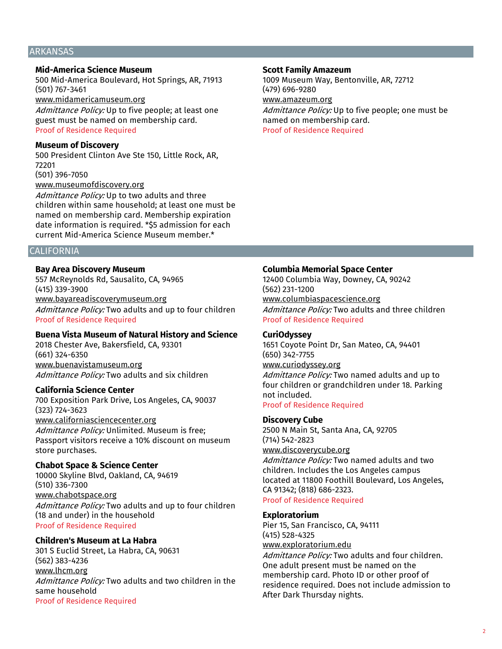# ARKANSAS

# **Mid-America Science Museum**

500 Mid-America Boulevard, Hot Springs, AR, 71913 (501) 767-3461 www.midamericamuseum.org Admittance Policy: Up to five people; at least one

guest must be named on membership card. Proof of Residence Required

#### **Museum of Discovery**

500 President Clinton Ave Ste 150, Little Rock, AR, 72201 (501) 396-7050 www.museumofdiscovery.org

Admittance Policy: Up to two adults and three children within same household; at least one must be named on membership card. Membership expiration date information is required. \*\$5 admission for each current Mid-America Science Museum member.\*

# **CALIFORNIA**

#### **Bay Area Discovery Museum**

557 McReynolds Rd, Sausalito, CA, 94965 (415) 339-3900 www.bayareadiscoverymuseum.org Admittance Policy: Two adults and up to four children Proof of Residence Required

#### **Buena Vista Museum of Natural History and Science**

2018 Chester Ave, Bakersfield, CA, 93301 (661) 324-6350 www.buenavistamuseum.org Admittance Policy: Two adults and six children

#### **California Science Center**

700 Exposition Park Drive, Los Angeles, CA, 90037 (323) 724-3623 www.californiasciencecenter.org Admittance Policy: Unlimited. Museum is free; Passport visitors receive a 10% discount on museum store purchases.

#### **Chabot Space & Science Center**

10000 Skyline Blvd, Oakland, CA, 94619 (510) 336-7300 www.chabotspace.org Admittance Policy: Two adults and up to four children (18 and under) in the household Proof of Residence Required

#### **Children's Museum at La Habra**

301 S Euclid Street, La Habra, CA, 90631 (562) 383-4236 www.lhcm.org Admittance Policy: Two adults and two children in the same household Proof of Residence Required

#### **Scott Family Amazeum**

1009 Museum Way, Bentonville, AR, 72712 (479) 696-9280 www.amazeum.org Admittance Policy: Up to five people; one must be named on membership card. Proof of Residence Required

#### **Columbia Memorial Space Center**

12400 Columbia Way, Downey, CA, 90242 (562) 231-1200 www.columbiaspacescience.org Admittance Policy: Two adults and three children Proof of Residence Required

#### **CuriOdyssey**

1651 Coyote Point Dr, San Mateo, CA, 94401 (650) 342-7755 www.curiodyssey.org Admittance Policy: Two named adults and up to four children or grandchildren under 18. Parking not included.

Proof of Residence Required

#### **Discovery Cube**

2500 N Main St, Santa Ana, CA, 92705 (714) 542-2823 www.discoverycube.org

Admittance Policy: Two named adults and two children. Includes the Los Angeles campus located at 11800 Foothill Boulevard, Los Angeles, CA 91342; (818) 686-2323. Proof of Residence Required

#### **Exploratorium**

Pier 15, San Francisco, CA, 94111 (415) 528-4325 www.exploratorium.edu

Admittance Policy: Two adults and four children. One adult present must be named on the membership card. Photo ID or other proof of residence required. Does not include admission to After Dark Thursday nights.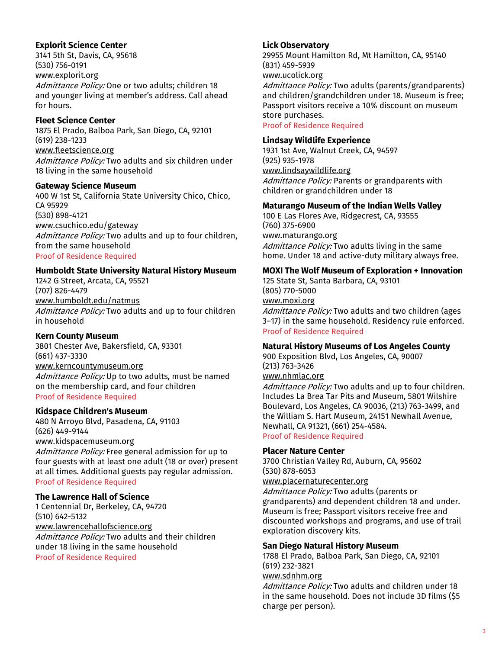# **Explorit Science Center**

3141 5th St, Davis, CA, 95618 (530) 756-0191 www.explorit.org Admittance Policy: One or two adults; children 18 and younger living at member's address. Call ahead for hours.

#### **Fleet Science Center**

1875 El Prado, Balboa Park, San Diego, CA, 92101 (619) 238-1233 www.fleetscience.org Admittance Policy: Two adults and six children under 18 living in the same household

#### **Gateway Science Museum**

400 W 1st St, California State University Chico, Chico, CA 95929 (530) 898-4121 www.csuchico.edu/gateway Admittance Policy: Two adults and up to four children, from the same household Proof of Residence Required

# **Humboldt State University Natural History Museum**

1242 G Street, Arcata, CA, 95521 (707) 826-4479 www.humboldt.edu/natmus Admittance Policy: Two adults and up to four children in household

# **Kern County Museum**

3801 Chester Ave, Bakersfield, CA, 93301 (661) 437-3330 www.kerncountymuseum.org Admittance Policy: Up to two adults, must be named on the membership card, and four children Proof of Residence Required

# **Kidspace Children's Museum**

480 N Arroyo Blvd, Pasadena, CA, 91103 (626) 449-9144 www.kidspacemuseum.org

Admittance Policy: Free general admission for up to four guests with at least one adult (18 or over) present at all times. Additional guests pay regular admission. Proof of Residence Required

#### **The Lawrence Hall of Science**

1 Centennial Dr, Berkeley, CA, 94720 (510) 642-5132 www.lawrencehallofscience.org Admittance Policy: Two adults and their children under 18 living in the same household Proof of Residence Required

#### **Lick Observatory**

29955 Mount Hamilton Rd, Mt Hamilton, CA, 95140 (831) 459-5939 www.ucolick.org

Admittance Policy: Two adults (parents/grandparents) and children/grandchildren under 18. Museum is free; Passport visitors receive a 10% discount on museum store purchases.

Proof of Residence Required

# **Lindsay Wildlife Experience**

1931 1st Ave, Walnut Creek, CA, 94597 (925) 935-1978 www.lindsaywildlife.org

Admittance Policy: Parents or grandparents with children or grandchildren under 18

#### **Maturango Museum of the Indian Wells Valley**

100 E Las Flores Ave, Ridgecrest, CA, 93555 (760) 375-6900

www.maturango.org Admittance Policy: Two adults living in the same home. Under 18 and active-duty military always free.

# **MOXI The Wolf Museum of Exploration + Innovation**

125 State St, Santa Barbara, CA, 93101 (805) 770-5000 www.moxi.org Admittance Policy: Two adults and two children (ages 3–17) in the same household. Residency rule enforced. Proof of Residence Required

#### **Natural History Museums of Los Angeles County**

900 Exposition Blvd, Los Angeles, CA, 90007 (213) 763-3426 www.nhmlac.org

Admittance Policy: Two adults and up to four children. Includes La Brea Tar Pits and Museum, 5801 Wilshire Boulevard, Los Angeles, CA 90036, (213) 763-3499, and the William S. Hart Museum, 24151 Newhall Avenue, Newhall, CA 91321, (661) 254-4584. Proof of Residence Required

# **Placer Nature Center**

3700 Christian Valley Rd, Auburn, CA, 95602 (530) 878-6053

www.placernaturecenter.org

Admittance Policy: Two adults (parents or grandparents) and dependent children 18 and under. Museum is free; Passport visitors receive free and discounted workshops and programs, and use of trail exploration discovery kits.

#### **San Diego Natural History Museum**

1788 El Prado, Balboa Park, San Diego, CA, 92101 (619) 232-3821

#### www.sdnhm.org

Admittance Policy: Two adults and children under 18 in the same household. Does not include 3D films (\$5 charge per person).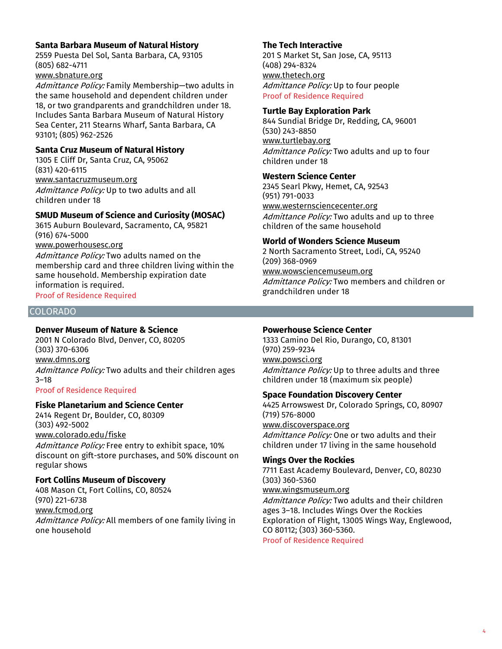# **Santa Barbara Museum of Natural History**

2559 Puesta Del Sol, Santa Barbara, CA, 93105 (805) 682-4711

# www.sbnature.org

Admittance Policy: Family Membership-two adults in the same household and dependent children under 18, or two grandparents and grandchildren under 18. Includes Santa Barbara Museum of Natural History Sea Center, 211 Stearns Wharf, Santa Barbara, CA 93101; (805) 962-2526

# **Santa Cruz Museum of Natural History**

1305 E Cliff Dr, Santa Cruz, CA, 95062 (831) 420-6115 www.santacruzmuseum.org Admittance Policy: Up to two adults and all children under 18

#### **SMUD Museum of Science and Curiosity (MOSAC)**

3615 Auburn Boulevard, Sacramento, CA, 95821 (916) 674-5000

www.powerhousesc.org

Admittance Policy: Two adults named on the membership card and three children living within the same household. Membership expiration date information is required.

Proof of Residence Required

# COLORADO

# **Denver Museum of Nature & Science**

2001 N Colorado Blvd, Denver, CO, 80205 (303) 370-6306 www.dmns.org Admittance Policy: Two adults and their children ages 3–18 Proof of Residence Required

# **Fiske Planetarium and Science Center**

2414 Regent Dr, Boulder, CO, 80309 (303) 492-5002 www.colorado.edu/fiske Admittance Policy: Free entry to exhibit space, 10% discount on gift-store purchases, and 50% discount on regular shows

# **Fort Collins Museum of Discovery**

408 Mason Ct, Fort Collins, CO, 80524 (970) 221-6738 www.fcmod.org Admittance Policy: All members of one family living in one household

# **The Tech Interactive**

201 S Market St, San Jose, CA, 95113 (408) 294-8324 www.thetech.org Admittance Policy: Up to four people Proof of Residence Required

#### **Turtle Bay Exploration Park**

844 Sundial Bridge Dr, Redding, CA, 96001 (530) 243-8850 www.turtlebay.org Admittance Policy: Two adults and up to four children under 18

#### **Western Science Center**

2345 Searl Pkwy, Hemet, CA, 92543 (951) 791-0033 www.westernsciencecenter.org Admittance Policy: Two adults and up to three children of the same household

#### **World of Wonders Science Museum**

2 North Sacramento Street, Lodi, CA, 95240 (209) 368-0969 www.wowsciencemuseum.org Admittance Policy: Two members and children or grandchildren under 18

# **Powerhouse Science Center**

1333 Camino Del Rio, Durango, CO, 81301 (970) 259-9234 www.powsci.org Admittance Policy: Up to three adults and three children under 18 (maximum six people)

# **Space Foundation Discovery Center**

4425 Arrowswest Dr, Colorado Springs, CO, 80907 (719) 576-8000 www.discoverspace.org Admittance Policy: One or two adults and their

children under 17 living in the same household

# **Wings Over the Rockies**

7711 East Academy Boulevard, Denver, CO, 80230 (303) 360-5360 www.wingsmuseum.org Admittance Policy: Two adults and their children ages 3–18. Includes Wings Over the Rockies Exploration of Flight, 13005 Wings Way, Englewood, CO 80112; (303) 360-5360.

Proof of Residence Required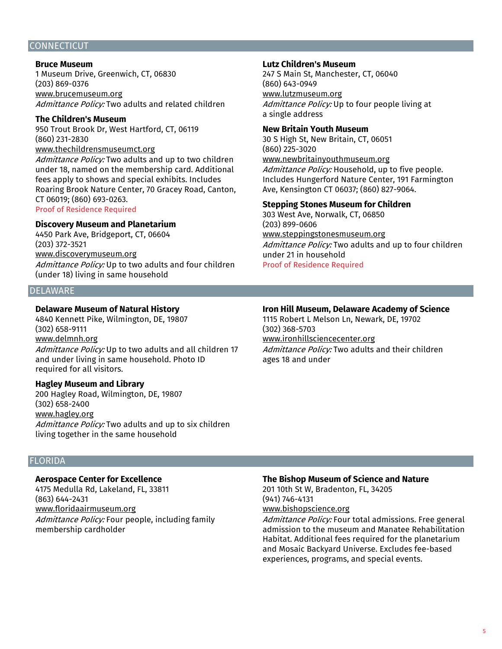#### CONNECTICUT

#### **Bruce Museum**

1 Museum Drive, Greenwich, CT, 06830 (203) 869-0376 www.brucemuseum.org Admittance Policy: Two adults and related children

**The Children's Museum** 950 Trout Brook Dr, West Hartford, CT, 06119 (860) 231-2830 www.thechildrensmuseumct.org

Admittance Policy: Two adults and up to two children under 18, named on the membership card. Additional fees apply to shows and special exhibits. Includes Roaring Brook Nature Center, 70 Gracey Road, Canton, CT 06019; (860) 693-0263. Proof of Residence Required

#### **Discovery Museum and Planetarium**

4450 Park Ave, Bridgeport, CT, 06604 (203) 372-3521 www.discoverymuseum.org Admittance Policy: Up to two adults and four children (under 18) living in same household

#### DELAWARE

#### **Delaware Museum of Natural History**

4840 Kennett Pike, Wilmington, DE, 19807 (302) 658-9111 www.delmnh.org Admittance Policy: Up to two adults and all children 17 and under living in same household. Photo ID required for all visitors.

#### **Hagley Museum and Library**

200 Hagley Road, Wilmington, DE, 19807 (302) 658-2400 www.hagley.org Admittance Policy: Two adults and up to six children living together in the same household

# FLORIDA

# **Aerospace Center for Excellence**

4175 Medulla Rd, Lakeland, FL, 33811 (863) 644-2431 www.floridaairmuseum.org Admittance Policy: Four people, including family membership cardholder

#### **Lutz Children's Museum**

247 S Main St, Manchester, CT, 06040 (860) 643-0949 www.lutzmuseum.org Admittance Policy: Up to four people living at a single address

#### **New Britain Youth Museum**

30 S High St, New Britain, CT, 06051 (860) 225-3020 www.newbritainyouthmuseum.org Admittance Policy: Household, up to five people. Includes Hungerford Nature Center, 191 Farmington Ave, Kensington CT 06037; (860) 827-9064.

#### **Stepping Stones Museum for Children**

303 West Ave, Norwalk, CT, 06850 (203) 899-0606 www.steppingstonesmuseum.org Admittance Policy: Two adults and up to four children under 21 in household Proof of Residence Required

#### **Iron Hill Museum, Delaware Academy of Science**

1115 Robert L Melson Ln, Newark, DE, 19702 (302) 368-5703 www.ironhillsciencecenter.org Admittance Policy: Two adults and their children ages 18 and under

# **The Bishop Museum of Science and Nature**

201 10th St W, Bradenton, FL, 34205 (941) 746-4131 www.bishopscience.org

Admittance Policy: Four total admissions. Free general admission to the museum and Manatee Rehabilitation Habitat. Additional fees required for the planetarium and Mosaic Backyard Universe. Excludes fee-based experiences, programs, and special events.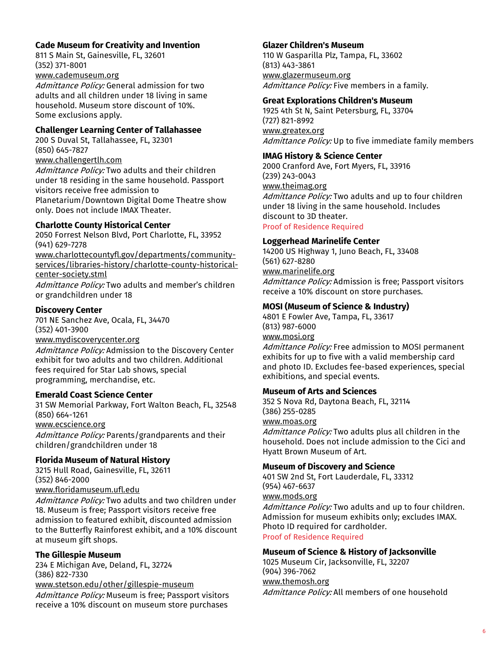# **Cade Museum for Creativity and Invention**

811 S Main St, Gainesville, FL, 32601 (352) 371-8001 www.cademuseum.org

Admittance Policy: General admission for two adults and all children under 18 living in same household. Museum store discount of 10%. Some exclusions apply.

# **Challenger Learning Center of Tallahassee**

200 S Duval St, Tallahassee, FL, 32301 (850) 645-7827 www.challengertlh.com

Admittance Policy: Two adults and their children under 18 residing in the same household. Passport visitors receive free admission to Planetarium/Downtown Digital Dome Theatre show only. Does not include IMAX Theater.

#### **Charlotte County Historical Center**

2050 Forrest Nelson Blvd, Port Charlotte, FL, 33952 (941) 629-7278 www.charlottecountyfl.gov/departments/communityservices/libraries-history/charlotte-county-historicalcenter-society.stml Admittance Policy: Two adults and member's children or grandchildren under 18

#### **Discovery Center**

701 NE Sanchez Ave, Ocala, FL, 34470 (352) 401-3900

www.mydiscoverycenter.org

Admittance Policy: Admission to the Discovery Center exhibit for two adults and two children. Additional fees required for Star Lab shows, special programming, merchandise, etc.

#### **Emerald Coast Science Center**

31 SW Memorial Parkway, Fort Walton Beach, FL, 32548 (850) 664-1261 www.ecscience.org

Admittance Policy: Parents/grandparents and their children/grandchildren under 18

#### **Florida Museum of Natural History**

3215 Hull Road, Gainesville, FL, 32611 (352) 846-2000 www.floridamuseum.ufl.edu Admittance Policy: Two adults and two children under 18. Museum is free; Passport visitors receive free

admission to featured exhibit, discounted admission to the Butterfly Rainforest exhibit, and a 10% discount at museum gift shops.

# **The Gillespie Museum**

234 E Michigan Ave, Deland, FL, 32724 (386) 822-7330 www.stetson.edu/other/gillespie-museum Admittance Policy: Museum is free; Passport visitors receive a 10% discount on museum store purchases

#### **Glazer Children's Museum**

110 W Gasparilla Plz, Tampa, FL, 33602 (813) 443-3861 www.glazermuseum.org Admittance Policy: Five members in a family.

#### **Great Explorations Children's Museum**

1925 4th St N, Saint Petersburg, FL, 33704 (727) 821-8992 www.greatex.org Admittance Policy: Up to five immediate family members

#### **IMAG History & Science Center**

2000 Cranford Ave, Fort Myers, FL, 33916 (239) 243-0043 www.theimag.org Admittance Policy: Two adults and up to four children under 18 living in the same household. Includes discount to 3D theater.

Proof of Residence Required

#### **Loggerhead Marinelife Center**

14200 US Highway 1, Juno Beach, FL, 33408 (561) 627-8280 www.marinelife.org Admittance Policy: Admission is free; Passport visitors receive a 10% discount on store purchases.

# **MOSI (Museum of Science & Industry)**

4801 E Fowler Ave, Tampa, FL, 33617 (813) 987-6000 www.mosi.org

Admittance Policy: Free admission to MOSI permanent exhibits for up to five with a valid membership card and photo ID. Excludes fee-based experiences, special exhibitions, and special events.

# **Museum of Arts and Sciences**

352 S Nova Rd, Daytona Beach, FL, 32114 (386) 255-0285 www.moas.org Admittance Policy: Two adults plus all children in the household. Does not include admission to the Cici and Hyatt Brown Museum of Art.

#### **Museum of Discovery and Science**

401 SW 2nd St, Fort Lauderdale, FL, 33312 (954) 467-6637 www.mods.org Admittance Policy: Two adults and up to four children. Admission for museum exhibits only; excludes IMAX. Photo ID required for cardholder. Proof of Residence Required

#### **Museum of Science & History of Jacksonville**

1025 Museum Cir, Jacksonville, FL, 32207 (904) 396-7062 www.themosh.org Admittance Policy: All members of one household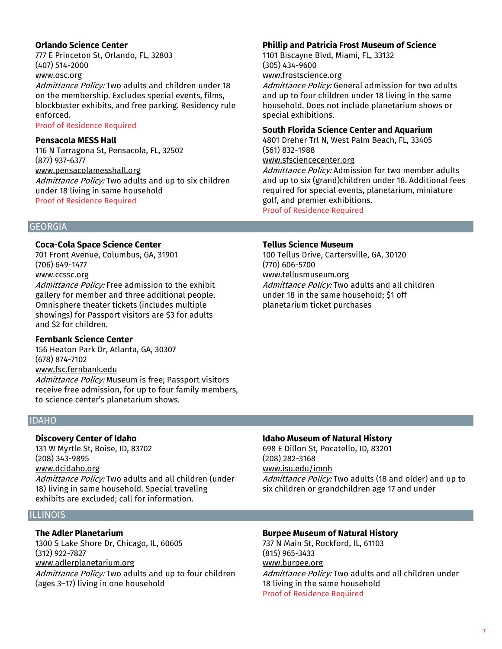# **Orlando Science Center**

777 E Princeton St, Orlando, FL, 32803 (407) 514-2000

# www.osc.org

Admittance Policy: Two adults and children under 18 on the membership. Excludes special events, films, blockbuster exhibits, and free parking. Residency rule enforced.

#### Proof of Residence Required

#### **Pensacola MESS Hall**

116 N Tarragona St, Pensacola, FL, 32502 (877) 937-6377 www.pensacolamesshall.org Admittance Policy: Two adults and up to six children under 18 living in same household Proof of Residence Required

# **GEORGIA**

#### **Coca-Cola Space Science Center**

701 Front Avenue, Columbus, GA, 31901 (706) 649-1477 www.ccssc.org

Admittance Policy: Free admission to the exhibit gallery for member and three additional people. Omnisphere theater tickets (includes multiple showings) for Passport visitors are \$3 for adults and \$2 for children.

#### **Fernbank Science Center**

156 Heaton Park Dr, Atlanta, GA, 30307 (678) 874-7102 www.fsc.fernbank.edu Admittance Policy: Museum is free; Passport visitors receive free admission, for up to four family members, to science center's planetarium shows.

# IDAHO

#### **Discovery Center of Idaho**

131 W Myrtle St, Boise, ID, 83702 (208) 343-9895 www.dcidaho.org Admittance Policy: Two adults and all children (under 18) living in same household. Special traveling exhibits are excluded; call for information.

#### ILLINOIS

#### **The Adler Planetarium**

1300 S Lake Shore Dr, Chicago, IL, 60605 (312) 922-7827 www.adlerplanetarium.org Admittance Policy: Two adults and up to four children (ages 3–17) living in one household

# **Phillip and Patricia Frost Museum of Science**

1101 Biscayne Blvd, Miami, FL, 33132 (305) 434-9600 www.frostscience.org

Admittance Policy: General admission for two adults and up to four children under 18 living in the same household. Does not include planetarium shows or special exhibitions.

# **South Florida Science Center and Aquarium**

4801 Dreher Trl N, West Palm Beach, FL, 33405 (561) 832-1988

# www.sfsciencecenter.org

Admittance Policy: Admission for two member adults and up to six (grand)children under 18. Additional fees required for special events, planetarium, miniature golf, and premier exhibitions.

Proof of Residence Required

# **Tellus Science Museum**

100 Tellus Drive, Cartersville, GA, 30120 (770) 606-5700 www.tellusmuseum.org

Admittance Policy: Two adults and all children under 18 in the same household; \$1 off planetarium ticket purchases

# **Idaho Museum of Natural History**

698 E Dillon St, Pocatello, ID, 83201 (208) 282-3168 www.isu.edu/imnh Admittance Policy: Two adults (18 and older) and up to six children or grandchildren age 17 and under

#### **Burpee Museum of Natural History**

737 N Main St, Rockford, IL, 61103 (815) 965-3433 www.burpee.org Admittance Policy: Two adults and all children under 18 living in the same household Proof of Residence Required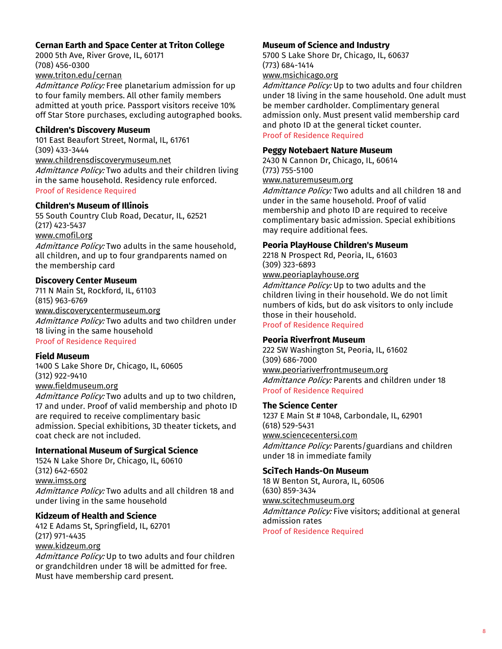# **Cernan Earth and Space Center at Triton College**

2000 5th Ave, River Grove, IL, 60171 (708) 456-0300 www.triton.edu/cernan

Admittance Policy: Free planetarium admission for up to four family members. All other family members admitted at youth price. Passport visitors receive 10% off Star Store purchases, excluding autographed books.

# **Children's Discovery Museum**

101 East Beaufort Street, Normal, IL, 61761 (309) 433-3444 www.childrensdiscoverymuseum.net Admittance Policy: Two adults and their children living in the same household. Residency rule enforced. Proof of Residence Required

#### **Children's Museum of Illinois**

55 South Country Club Road, Decatur, IL, 62521 (217) 423-5437

# www.cmofil.org

Admittance Policy: Two adults in the same household, all children, and up to four grandparents named on the membership card

#### **Discovery Center Museum**

711 N Main St, Rockford, IL, 61103 (815) 963-6769 www.discoverycentermuseum.org Admittance Policy: Two adults and two children under 18 living in the same household Proof of Residence Required

# **Field Museum**

1400 S Lake Shore Dr, Chicago, IL, 60605 (312) 922-9410 www.fieldmuseum.org

Admittance Policy: Two adults and up to two children, 17 and under. Proof of valid membership and photo ID are required to receive complimentary basic admission. Special exhibitions, 3D theater tickets, and coat check are not included.

# **International Museum of Surgical Science**

1524 N Lake Shore Dr, Chicago, IL, 60610 (312) 642-6502 www.imss.org Admittance Policy: Two adults and all children 18 and under living in the same household

# **Kidzeum of Health and Science**

412 E Adams St, Springfield, IL, 62701 (217) 971-4435 www.kidzeum.org

Admittance Policy: Up to two adults and four children or grandchildren under 18 will be admitted for free. Must have membership card present.

#### **Museum of Science and Industry**

5700 S Lake Shore Dr, Chicago, IL, 60637 (773) 684-1414

# www.msichicago.org

Admittance Policy: Up to two adults and four children under 18 living in the same household. One adult must be member cardholder. Complimentary general admission only. Must present valid membership card and photo ID at the general ticket counter.

# Proof of Residence Required

#### **Peggy Notebaert Nature Museum**

2430 N Cannon Dr, Chicago, IL, 60614 (773) 755-5100 www.naturemuseum.org

Admittance Policy: Two adults and all children 18 and under in the same household. Proof of valid membership and photo ID are required to receive complimentary basic admission. Special exhibitions may require additional fees.

## **Peoria PlayHouse Children's Museum**

2218 N Prospect Rd, Peoria, IL, 61603 (309) 323-6893 www.peoriaplayhouse.org

Admittance Policy: Up to two adults and the children living in their household. We do not limit numbers of kids, but do ask visitors to only include those in their household.

#### Proof of Residence Required

# **Peoria Riverfront Museum**

222 SW Washington St, Peoria, IL, 61602 (309) 686-7000 www.peoriariverfrontmuseum.org Admittance Policy: Parents and children under 18 Proof of Residence Required

#### **The Science Center**

1237 E Main St # 1048, Carbondale, IL, 62901 (618) 529-5431 www.sciencecentersi.com Admittance Policy: Parents/guardians and children under 18 in immediate family

#### **SciTech Hands-On Museum**

18 W Benton St, Aurora, IL, 60506 (630) 859-3434 www.scitechmuseum.org Admittance Policy: Five visitors; additional at general admission rates Proof of Residence Required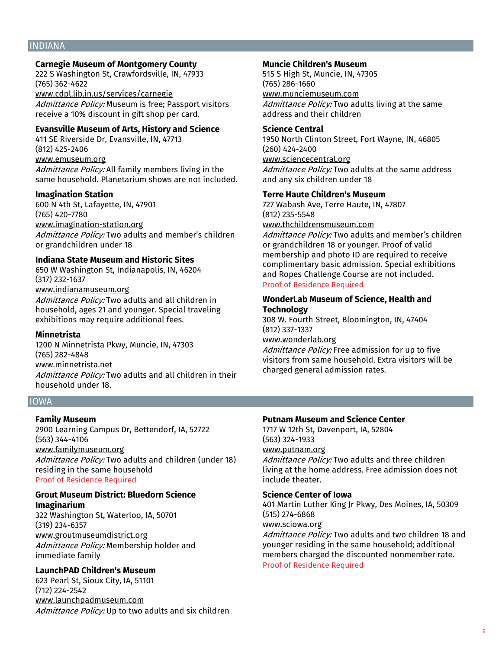#### INDIANA

# **Carnegie Museum of Montgomery County**

222 S Washington St, Crawfordsville, IN, 47933 (765) 362-4622 www.cdpl.lib.in.us/services/carnegie Admittance Policy: Museum is free; Passport visitors receive a 10% discount in gift shop per card.

#### **Evansville Museum of Arts, History and Science**

411 SE Riverside Dr, Evansville, IN, 47713 (812) 425-2406 www.emuseum.org

Admittance Policy: All family members living in the same household. Planetarium shows are not included.

#### **Imagination Station**

600 N 4th St, Lafayette, IN, 47901 (765) 420-7780 www.imagination-station.org Admittance Policy: Two adults and member's children or grandchildren under 18

#### **Indiana State Museum and Historic Sites**

650 W Washington St, Indianapolis, IN, 46204 (317) 232-1637

# www.indianamuseum.org

Admittance Policy: Two adults and all children in household, ages 21 and younger. Special traveling exhibitions may require additional fees.

#### **Minnetrista**

1200 N Minnetrista Pkwy, Muncie, IN, 47303 (765) 282-4848 www.minnetrista.net Admittance Policy: Two adults and all children in their household under 18.

# IOWA

#### **Family Museum**

2900 Learning Campus Dr, Bettendorf, IA, 52722 (563) 344-4106 www.familymuseum.org Admittance Policy: Two adults and children (under 18) residing in the same household Proof of Residence Required

# **Grout Museum District: Bluedorn Science Imaginarium**

322 Washington St, Waterloo, IA, 50701 (319) 234-6357 www.groutmuseumdistrict.org Admittance Policy: Membership holder and immediate family

#### **LaunchPAD Children's Museum**

623 Pearl St, Sioux City, IA, 51101 (712) 224-2542 www.launchpadmuseum.com Admittance Policy: Up to two adults and six children

#### **Muncie Children's Museum**

515 S High St, Muncie, IN, 47305 (765) 286-1660 www.munciemuseum.com

Admittance Policy: Two adults living at the same address and their children

#### **Science Central**

1950 North Clinton Street, Fort Wayne, IN, 46805 (260) 424-2400 www.sciencecentral.org Admittance Policy: Two adults at the same address and any six children under 18

#### **Terre Haute Children's Museum**

727 Wabash Ave, Terre Haute, IN, 47807 (812) 235-5548 www.thchildrensmuseum.com

Admittance Policy: Two adults and member's children or grandchildren 18 or younger. Proof of valid membership and photo ID are required to receive complimentary basic admission. Special exhibitions and Ropes Challenge Course are not included. Proof of Residence Required

#### **WonderLab Museum of Science, Health and Technology**

308 W. Fourth Street, Bloomington, IN, 47404 (812) 337-1337

www.wonderlab.org

Admittance Policy: Free admission for up to five visitors from same household. Extra visitors will be charged general admission rates.

# **Putnam Museum and Science Center**

1717 W 12th St, Davenport, IA, 52804 (563) 324-1933 www.putnam.org

Admittance Policy: Two adults and three children living at the home address. Free admission does not include theater.

#### **Science Center of Iowa**

401 Martin Luther King Jr Pkwy, Des Moines, IA, 50309 (515) 274-6868

www.sciowa.org

Admittance Policy: Two adults and two children 18 and younger residing in the same household; additional members charged the discounted nonmember rate. Proof of Residence Required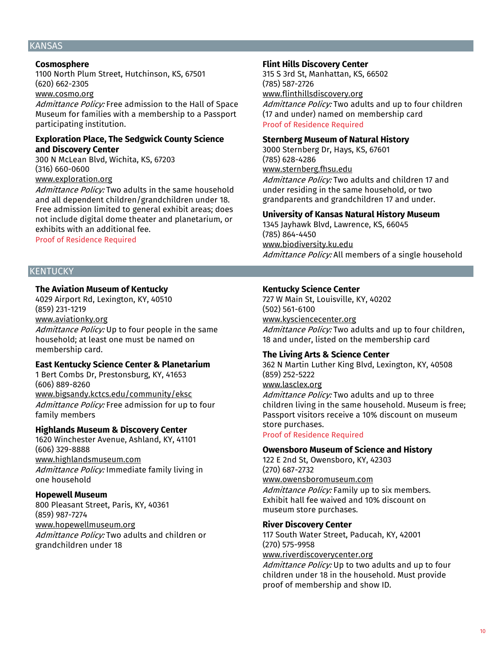# KANSAS

#### **Cosmosphere**

1100 North Plum Street, Hutchinson, KS, 67501 (620) 662-2305

# www.cosmo.org

Admittance Policy: Free admission to the Hall of Space Museum for families with a membership to a Passport participating institution.

#### **Exploration Place, The Sedgwick County Science and Discovery Center**

300 N McLean Blvd, Wichita, KS, 67203 (316) 660-0600 www.exploration.org

Admittance Policy: Two adults in the same household and all dependent children/grandchildren under 18. Free admission limited to general exhibit areas; does not include digital dome theater and planetarium, or exhibits with an additional fee.

Proof of Residence Required

# KENTUCKY

#### **The Aviation Museum of Kentucky**

4029 Airport Rd, Lexington, KY, 40510 (859) 231-1219 www.aviationky.org

Admittance Policy: Up to four people in the same household; at least one must be named on membership card.

#### **East Kentucky Science Center & Planetarium**

1 Bert Combs Dr, Prestonsburg, KY, 41653 (606) 889-8260 www.bigsandy.kctcs.edu/community/eksc Admittance Policy: Free admission for up to four family members

# **Highlands Museum & Discovery Center**

1620 Winchester Avenue, Ashland, KY, 41101 (606) 329-8888 www.highlandsmuseum.com Admittance Policy: Immediate family living in one household

#### **Hopewell Museum**

800 Pleasant Street, Paris, KY, 40361 (859) 987-7274 www.hopewellmuseum.org Admittance Policy: Two adults and children or grandchildren under 18

#### **Flint Hills Discovery Center**

315 S 3rd St, Manhattan, KS, 66502 (785) 587-2726 www.flinthillsdiscovery.org

Admittance Policy: Two adults and up to four children (17 and under) named on membership card Proof of Residence Required

#### **Sternberg Museum of Natural History**

3000 Sternberg Dr, Hays, KS, 67601 (785) 628-4286 www.sternberg.fhsu.edu Admittance Policy: Two adults and children 17 and under residing in the same household, or two grandparents and grandchildren 17 and under.

#### **University of Kansas Natural History Museum**

1345 Jayhawk Blvd, Lawrence, KS, 66045 (785) 864-4450 www.biodiversity.ku.edu Admittance Policy: All members of a single household

# **Kentucky Science Center**

727 W Main St, Louisville, KY, 40202 (502) 561-6100 www.kysciencecenter.org Admittance Policy: Two adults and up to four children, 18 and under, listed on the membership card

# **The Living Arts & Science Center**

362 N Martin Luther King Blvd, Lexington, KY, 40508 (859) 252-5222

www.lasclex.org Admittance Policy: Two adults and up to three children living in the same household. Museum is free; Passport visitors receive a 10% discount on museum

#### store purchases. Proof of Residence Required

#### **Owensboro Museum of Science and History**

122 E 2nd St, Owensboro, KY, 42303 (270) 687-2732 www.owensboromuseum.com Admittance Policy: Family up to six members. Exhibit hall fee waived and 10% discount on museum store purchases.

#### **River Discovery Center**

117 South Water Street, Paducah, KY, 42001 (270) 575-9958

www.riverdiscoverycenter.org

Admittance Policy: Up to two adults and up to four children under 18 in the household. Must provide proof of membership and show ID.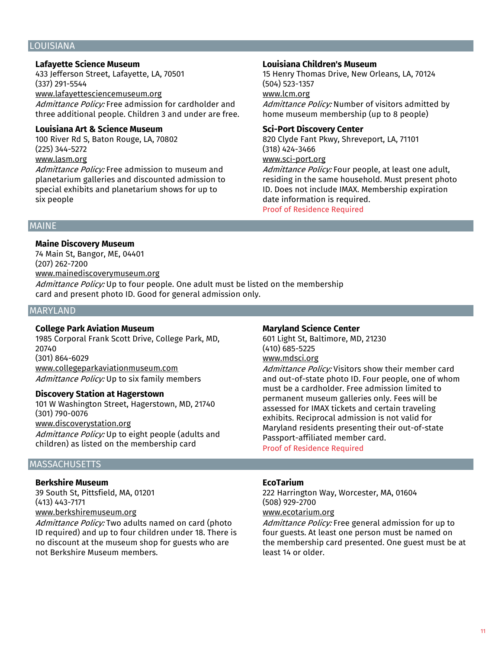#### LOUISIANA

# **Lafayette Science Museum**

433 Jefferson Street, Lafayette, LA, 70501 (337) 291-5544 www.lafayettesciencemuseum.org

Admittance Policy: Free admission for cardholder and three additional people. Children 3 and under are free.

#### **Louisiana Art & Science Museum**

100 River Rd S, Baton Rouge, LA, 70802 (225) 344-5272 www.lasm.org

Admittance Policy: Free admission to museum and planetarium galleries and discounted admission to special exhibits and planetarium shows for up to six people

#### **Louisiana Children's Museum**

15 Henry Thomas Drive, New Orleans, LA, 70124 (504) 523-1357 www.lcm.org

Admittance Policy: Number of visitors admitted by home museum membership (up to 8 people)

#### **Sci-Port Discovery Center**

820 Clyde Fant Pkwy, Shreveport, LA, 71101 (318) 424-3466 www.sci-port.org

Admittance Policy: Four people, at least one adult, residing in the same household. Must present photo ID. Does not include IMAX. Membership expiration date information is required.

Proof of Residence Required

#### MAINE

#### **Maine Discovery Museum**

74 Main St, Bangor, ME, 04401 (207) 262-7200 www.mainediscoverymuseum.org Admittance Policy: Up to four people. One adult must be listed on the membership card and present photo ID. Good for general admission only.

#### MARYLAND

# **College Park Aviation Museum**

1985 Corporal Frank Scott Drive, College Park, MD, 20740 (301) 864-6029 www.collegeparkaviationmuseum.com Admittance Policy: Up to six family members

#### **Discovery Station at Hagerstown**

101 W Washington Street, Hagerstown, MD, 21740 (301) 790-0076 www.discoverystation.org Admittance Policy: Up to eight people (adults and

# children) as listed on the membership card

# **MASSACHUSETTS**

#### **Berkshire Museum**

39 South St, Pittsfield, MA, 01201 (413) 443-7171 www.berkshiremuseum.org

Admittance Policy: Two adults named on card (photo ID required) and up to four children under 18. There is no discount at the museum shop for guests who are not Berkshire Museum members.

#### **Maryland Science Center**

601 Light St, Baltimore, MD, 21230 (410) 685-5225 www.mdsci.org

Admittance Policy: Visitors show their member card and out-of-state photo ID. Four people, one of whom must be a cardholder. Free admission limited to permanent museum galleries only. Fees will be assessed for IMAX tickets and certain traveling exhibits. Reciprocal admission is not valid for Maryland residents presenting their out-of-state Passport-affiliated member card.

Proof of Residence Required

#### **EcoTarium**

222 Harrington Way, Worcester, MA, 01604 (508) 929-2700

www.ecotarium.org

Admittance Policy: Free general admission for up to four guests. At least one person must be named on the membership card presented. One guest must be at least 14 or older.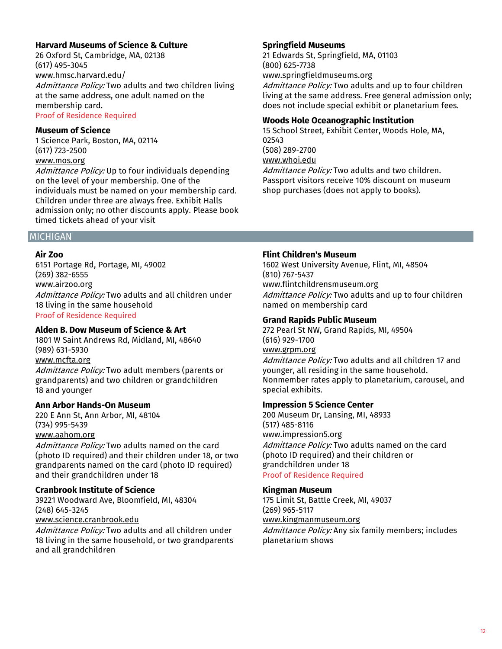# **Harvard Museums of Science & Culture**

26 Oxford St, Cambridge, MA, 02138 (617) 495-3045 www.hmsc.harvard.edu/ Admittance Policy: Two adults and two children living

at the same address, one adult named on the membership card. Proof of Residence Required

**Museum of Science**

1 Science Park, Boston, MA, 02114 (617) 723-2500 www.mos.org

Admittance Policy: Up to four individuals depending on the level of your membership. One of the individuals must be named on your membership card. Children under three are always free. Exhibit Halls admission only; no other discounts apply. Please book timed tickets ahead of your visit

# **Springfield Museums**

21 Edwards St, Springfield, MA, 01103 (800) 625-7738 www.springfieldmuseums.org

Admittance Policy: Two adults and up to four children living at the same address. Free general admission only; does not include special exhibit or planetarium fees.

# **Woods Hole Oceanographic Institution**

15 School Street, Exhibit Center, Woods Hole, MA, 02543 (508) 289-2700 www.whoi.edu Admittance Policy: Two adults and two children. Passport visitors receive 10% discount on museum shop purchases (does not apply to books).

#### MICHIGAN

#### **Air Zoo**

6151 Portage Rd, Portage, MI, 49002 (269) 382-6555 www.airzoo.org Admittance Policy: Two adults and all children under 18 living in the same household Proof of Residence Required

# **Alden B. Dow Museum of Science & Art**

1801 W Saint Andrews Rd, Midland, MI, 48640 (989) 631-5930 www.mcfta.org Admittance Policy: Two adult members (parents or grandparents) and two children or grandchildren 18 and younger

#### **Ann Arbor Hands-On Museum**

220 E Ann St, Ann Arbor, MI, 48104 (734) 995-5439 www.aahom.org

Admittance Policy: Two adults named on the card (photo ID required) and their children under 18, or two grandparents named on the card (photo ID required) and their grandchildren under 18

# **Cranbrook Institute of Science**

39221 Woodward Ave, Bloomfield, MI, 48304 (248) 645-3245 www.science.cranbrook.edu

Admittance Policy: Two adults and all children under 18 living in the same household, or two grandparents and all grandchildren

#### **Flint Children's Museum**

1602 West University Avenue, Flint, MI, 48504 (810) 767-5437 www.flintchildrensmuseum.org Admittance Policy: Two adults and up to four children named on membership card

# **Grand Rapids Public Museum**

272 Pearl St NW, Grand Rapids, MI, 49504 (616) 929-1700 www.grpm.org

Admittance Policy: Two adults and all children 17 and younger, all residing in the same household. Nonmember rates apply to planetarium, carousel, and special exhibits.

# **Impression 5 Science Center**

200 Museum Dr, Lansing, MI, 48933 (517) 485-8116 www.impression5.org Admittance Policy: Two adults named on the card (photo ID required) and their children or grandchildren under 18 Proof of Residence Required

# **Kingman Museum**

175 Limit St, Battle Creek, MI, 49037 (269) 965-5117 www.kingmanmuseum.org Admittance Policy: Any six family members; includes

planetarium shows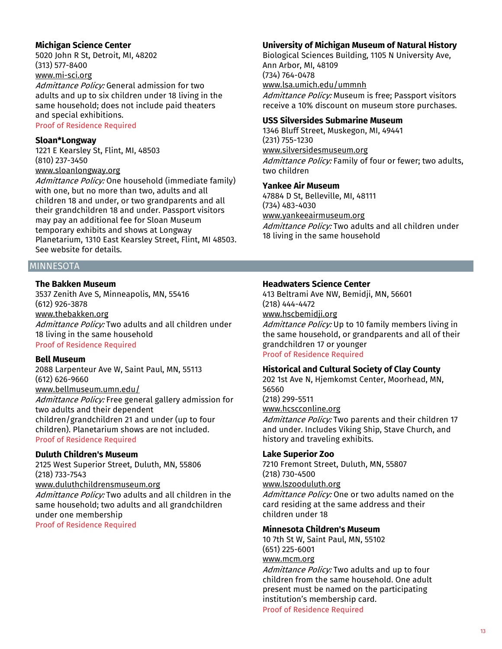# **Michigan Science Center**

5020 John R St, Detroit, MI, 48202 (313) 577-8400 www.mi-sci.org

Admittance Policy: General admission for two adults and up to six children under 18 living in the same household; does not include paid theaters and special exhibitions.

# Proof of Residence Required

#### **Sloan\*Longway**

1221 E Kearsley St, Flint, MI, 48503 (810) 237-3450

# www.sloanlongway.org

Admittance Policy: One household (immediate family) with one, but no more than two, adults and all children 18 and under, or two grandparents and all their grandchildren 18 and under. Passport visitors may pay an additional fee for Sloan Museum temporary exhibits and shows at Longway Planetarium, 1310 East Kearsley Street, Flint, MI 48503. See website for details.

**MINNESOTA** 

# **The Bakken Museum**

3537 Zenith Ave S, Minneapolis, MN, 55416 (612) 926-3878 www.thebakken.org Admittance Policy: Two adults and all children under 18 living in the same household Proof of Residence Required

#### **Bell Museum**

2088 Larpenteur Ave W, Saint Paul, MN, 55113 (612) 626-9660 www.bellmuseum.umn.edu/ Admittance Policy: Free general gallery admission for two adults and their dependent children/grandchildren 21 and under (up to four children). Planetarium shows are not included. Proof of Residence Required

# **Duluth Children's Museum**

2125 West Superior Street, Duluth, MN, 55806 (218) 733-7543 www.duluthchildrensmuseum.org Admittance Policy: Two adults and all children in the same household; two adults and all grandchildren under one membership Proof of Residence Required

# **University of Michigan Museum of Natural History**

Biological Sciences Building, 1105 N University Ave, Ann Arbor, MI, 48109 (734) 764-0478 www.lsa.umich.edu/ummnh Admittance Policy: Museum is free; Passport visitors receive a 10% discount on museum store purchases.

#### **USS Silversides Submarine Museum**

1346 Bluff Street, Muskegon, MI, 49441 (231) 755-1230 www.silversidesmuseum.org Admittance Policy: Family of four or fewer; two adults, two children

# **Yankee Air Museum**

47884 D St, Belleville, MI, 48111 (734) 483-4030 www.yankeeairmuseum.org Admittance Policy: Two adults and all children under 18 living in the same household

# **Headwaters Science Center**

413 Beltrami Ave NW, Bemidji, MN, 56601 (218) 444-4472 www.hscbemidji.org Admittance Policy: Up to 10 family members living in the same household, or grandparents and all of their grandchildren 17 or younger

#### Proof of Residence Required

# **Historical and Cultural Society of Clay County**

202 1st Ave N, Hjemkomst Center, Moorhead, MN, 56560 (218) 299-5511 www.hcscconline.org

Admittance Policy: Two parents and their children 17 and under. Includes Viking Ship, Stave Church, and history and traveling exhibits.

#### **Lake Superior Zoo**

7210 Fremont Street, Duluth, MN, 55807 (218) 730-4500 www.lszooduluth.org Admittance Policy: One or two adults named on the card residing at the same address and their children under 18

# **Minnesota Children's Museum**

10 7th St W, Saint Paul, MN, 55102 (651) 225-6001 www.mcm.org

Admittance Policy: Two adults and up to four children from the same household. One adult present must be named on the participating institution's membership card. Proof of Residence Required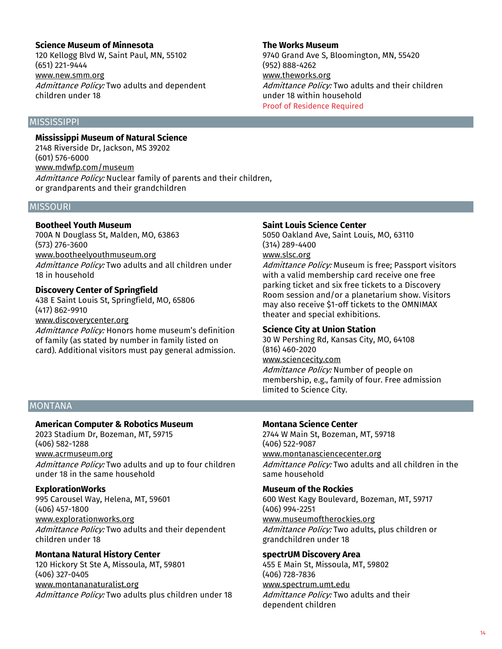# **Science Museum of Minnesota**

120 Kellogg Blvd W, Saint Paul, MN, 55102 (651) 221-9444 www.new.smm.org Admittance Policy: Two adults and dependent children under 18

**The Works Museum** 9740 Grand Ave S, Bloomington, MN, 55420 (952) 888-4262 www.theworks.org Admittance Policy: Two adults and their children under 18 within household Proof of Residence Required

# **MISSISSIPPI**

**Mississippi Museum of Natural Science** 2148 Riverside Dr, Jackson, MS 39202 (601) 576-6000 www.mdwfp.com/museum Admittance Policy: Nuclear family of parents and their children, or grandparents and their grandchildren

#### **MISSOURI**

#### **Bootheel Youth Museum**

700A N Douglass St, Malden, MO, 63863 (573) 276-3600 www.bootheelyouthmuseum.org Admittance Policy: Two adults and all children under 18 in household

#### **Discovery Center of Springfield**

438 E Saint Louis St, Springfield, MO, 65806 (417) 862-9910 www.discoverycenter.org

Admittance Policy: Honors home museum's definition of family (as stated by number in family listed on card). Additional visitors must pay general admission.

#### **Saint Louis Science Center**

5050 Oakland Ave, Saint Louis, MO, 63110 (314) 289-4400

# www.slsc.org

Admittance Policy: Museum is free: Passport visitors with a valid membership card receive one free parking ticket and six free tickets to a Discovery Room session and/or a planetarium show. Visitors may also receive \$1-off tickets to the OMNIMAX theater and special exhibitions.

# **Science City at Union Station**

30 W Pershing Rd, Kansas City, MO, 64108 (816) 460-2020 www.sciencecity.com

Admittance Policy: Number of people on membership, e.g., family of four. Free admission limited to Science City.

# **MONTANA**

# **American Computer & Robotics Museum**

2023 Stadium Dr, Bozeman, MT, 59715 (406) 582-1288 www.acrmuseum.org Admittance Policy: Two adults and up to four children under 18 in the same household

# **ExplorationWorks**

995 Carousel Way, Helena, MT, 59601 (406) 457-1800 www.explorationworks.org

Admittance Policy: Two adults and their dependent children under 18

# **Montana Natural History Center**

120 Hickory St Ste A, Missoula, MT, 59801 (406) 327-0405 www.montananaturalist.org Admittance Policy: Two adults plus children under 18

# **Montana Science Center**

2744 W Main St, Bozeman, MT, 59718 (406) 522-9087 www.montanasciencecenter.org Admittance Policy: Two adults and all children in the same household

# **Museum of the Rockies**

600 West Kagy Boulevard, Bozeman, MT, 59717 (406) 994-2251 www.museumoftherockies.org Admittance Policy: Two adults, plus children or grandchildren under 18

# **spectrUM Discovery Area**

455 E Main St, Missoula, MT, 59802 (406) 728-7836 www.spectrum.umt.edu Admittance Policy: Two adults and their dependent children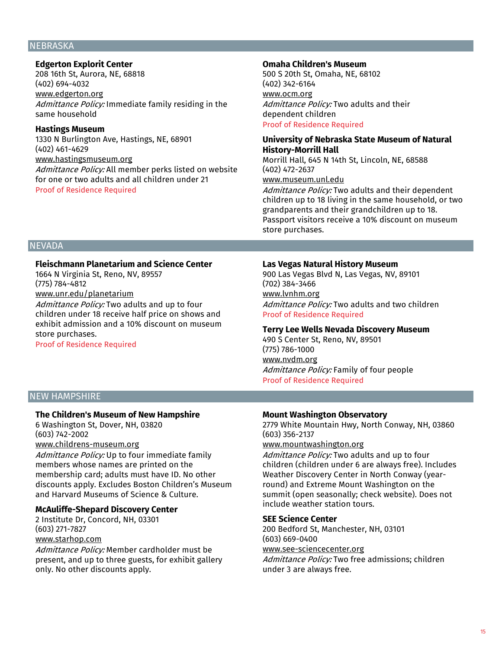#### **NEBRASKA**

# **Edgerton Explorit Center**

208 16th St, Aurora, NE, 68818 (402) 694-4032 www.edgerton.org Admittance Policy: Immediate family residing in the same household

#### **Hastings Museum**

1330 N Burlington Ave, Hastings, NE, 68901 (402) 461-4629 www.hastingsmuseum.org

Admittance Policy: All member perks listed on website for one or two adults and all children under 21 Proof of Residence Required

#### **Omaha Children's Museum**

500 S 20th St, Omaha, NE, 68102 (402) 342-6164 www.ocm.org Admittance Policy: Two adults and their dependent children Proof of Residence Required

# **University of Nebraska State Museum of Natural History-Morrill Hall**

Morrill Hall, 645 N 14th St, Lincoln, NE, 68588 (402) 472-2637 www.museum.unl.edu

Admittance Policy: Two adults and their dependent children up to 18 living in the same household, or two grandparents and their grandchildren up to 18. Passport visitors receive a 10% discount on museum store purchases.

# **NEVADA**

# **Fleischmann Planetarium and Science Center**

1664 N Virginia St, Reno, NV, 89557 (775) 784-4812

# www.unr.edu/planetarium

Admittance Policy: Two adults and up to four children under 18 receive half price on shows and exhibit admission and a 10% discount on museum store purchases.

Proof of Residence Required

#### **Las Vegas Natural History Museum**

900 Las Vegas Blvd N, Las Vegas, NV, 89101 (702) 384-3466 www.lvnhm.org Admittance Policy: Two adults and two children Proof of Residence Required

#### **Terry Lee Wells Nevada Discovery Museum**

490 S Center St, Reno, NV, 89501 (775) 786-1000 www.nvdm.org Admittance Policy: Family of four people Proof of Residence Required

# NEW HAMPSHIRE

#### **The Children's Museum of New Hampshire**

6 Washington St, Dover, NH, 03820 (603) 742-2002 www.childrens-museum.org

Admittance Policy: Up to four immediate family members whose names are printed on the membership card; adults must have ID. No other discounts apply. Excludes Boston Children's Museum and Harvard Museums of Science & Culture.

# **McAuliffe-Shepard Discovery Center**

2 Institute Dr, Concord, NH, 03301 (603) 271-7827 www.starhop.com

Admittance Policy: Member cardholder must be present, and up to three guests, for exhibit gallery only. No other discounts apply.

#### **Mount Washington Observatory**

2779 White Mountain Hwy, North Conway, NH, 03860 (603) 356-2137

#### www.mountwashington.org

Admittance Policy: Two adults and up to four children (children under 6 are always free). Includes Weather Discovery Center in North Conway (yearround) and Extreme Mount Washington on the summit (open seasonally; check website). Does not include weather station tours.

#### **SEE Science Center**

200 Bedford St, Manchester, NH, 03101 (603) 669-0400

www.see-sciencecenter.org

Admittance Policy: Two free admissions; children under 3 are always free.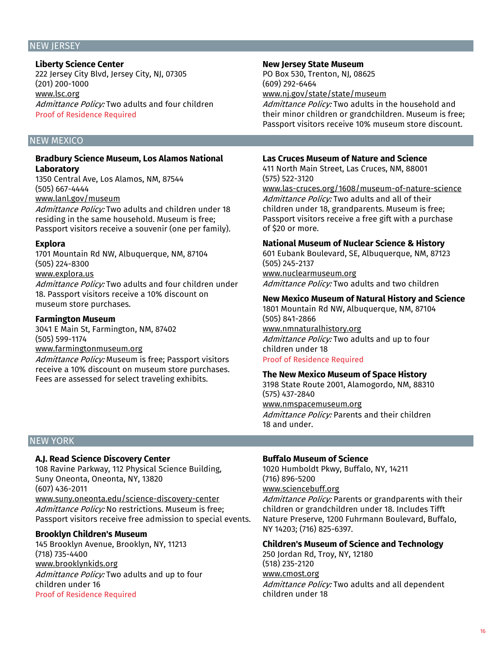#### NEW JERSEY

**Liberty Science Center** 222 Jersey City Blvd, Jersey City, NJ, 07305 (201) 200-1000 www.lsc.org Admittance Policy: Two adults and four children Proof of Residence Required

# NEW MEXICO

#### **Bradbury Science Museum, Los Alamos National Laboratory**

1350 Central Ave, Los Alamos, NM, 87544 (505) 667-4444 www.lanl.gov/museum

Admittance Policy: Two adults and children under 18 residing in the same household. Museum is free; Passport visitors receive a souvenir (one per family).

#### **Explora**

1701 Mountain Rd NW, Albuquerque, NM, 87104 (505) 224-8300 www.explora.us Admittance Policy: Two adults and four children under 18. Passport visitors receive a 10% discount on museum store purchases.

#### **Farmington Museum**

3041 E Main St, Farmington, NM, 87402 (505) 599-1174 www.farmingtonmuseum.org

Admittance Policy: Museum is free; Passport visitors receive a 10% discount on museum store purchases. Fees are assessed for select traveling exhibits.

#### **New Jersey State Museum**

PO Box 530, Trenton, NJ, 08625 (609) 292-6464 www.nj.gov/state/state/museum

Admittance Policy: Two adults in the household and their minor children or grandchildren. Museum is free; Passport visitors receive 10% museum store discount.

#### **Las Cruces Museum of Nature and Science**

411 North Main Street, Las Cruces, NM, 88001 (575) 522-3120

www.las-cruces.org/1608/museum-of-nature-science Admittance Policy: Two adults and all of their children under 18, grandparents. Museum is free; Passport visitors receive a free gift with a purchase of \$20 or more.

#### **National Museum of Nuclear Science & History**

601 Eubank Boulevard, SE, Albuquerque, NM, 87123 (505) 245-2137 www.nuclearmuseum.org

Admittance Policy: Two adults and two children

#### **New Mexico Museum of Natural History and Science**

1801 Mountain Rd NW, Albuquerque, NM, 87104 (505) 841-2866 www.nmnaturalhistory.org

Admittance Policy: Two adults and up to four children under 18 Proof of Residence Required

#### **The New Mexico Museum of Space History**

3198 State Route 2001, Alamogordo, NM, 88310 (575) 437-2840 www.nmspacemuseum.org Admittance Policy: Parents and their children 18 and under.

# NEW YORK

# **A.J. Read Science Discovery Center**

108 Ravine Parkway, 112 Physical Science Building, Suny Oneonta, Oneonta, NY, 13820 (607) 436-2011 www.suny.oneonta.edu/science-discovery-center Admittance Policy: No restrictions. Museum is free: Passport visitors receive free admission to special events.

# **Brooklyn Children's Museum**

145 Brooklyn Avenue, Brooklyn, NY, 11213 (718) 735-4400 www.brooklynkids.org Admittance Policy: Two adults and up to four children under 16 Proof of Residence Required

# **Buffalo Museum of Science**

1020 Humboldt Pkwy, Buffalo, NY, 14211 (716) 896-5200 www.sciencebuff.org Admittance Policy: Parents or grandparents with their children or grandchildren under 18. Includes Tifft Nature Preserve, 1200 Fuhrmann Boulevard, Buffalo, NY 14203; (716) 825-6397.

# **Children's Museum of Science and Technology**

250 Jordan Rd, Troy, NY, 12180 (518) 235-2120 www.cmost.org Admittance Policy: Two adults and all dependent children under 18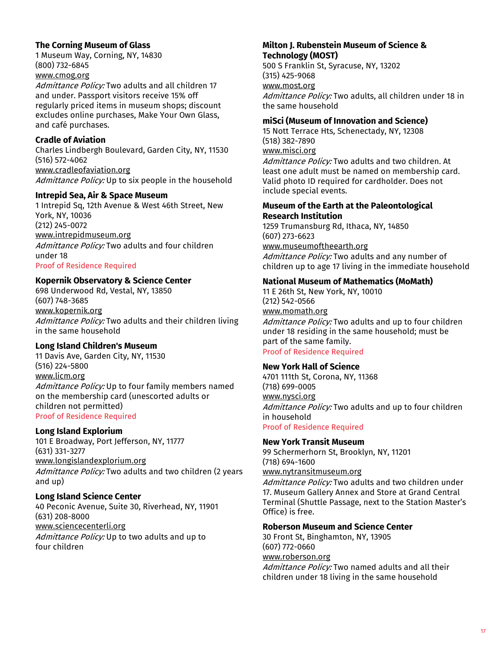# **The Corning Museum of Glass**

1 Museum Way, Corning, NY, 14830 (800) 732-6845

# www.cmog.org

Admittance Policy: Two adults and all children 17 and under. Passport visitors receive 15% off regularly priced items in museum shops; discount excludes online purchases, Make Your Own Glass, and café purchases.

# **Cradle of Aviation**

Charles Lindbergh Boulevard, Garden City, NY, 11530 (516) 572-4062 www.cradleofaviation.org Admittance Policy: Up to six people in the household

# **Intrepid Sea, Air & Space Museum**

1 Intrepid Sq, 12th Avenue & West 46th Street, New York, NY, 10036 (212) 245-0072 www.intrepidmuseum.org Admittance Policy: Two adults and four children under 18 Proof of Residence Required

# **Kopernik Observatory & Science Center**

698 Underwood Rd, Vestal, NY, 13850 (607) 748-3685 www.kopernik.org Admittance Policy: Two adults and their children living in the same household

# **Long Island Children's Museum**

11 Davis Ave, Garden City, NY, 11530 (516) 224-5800 www.licm.org Admittance Policy: Up to four family members named on the membership card (unescorted adults or children not permitted) Proof of Residence Required

# **Long Island Explorium**

101 E Broadway, Port Jefferson, NY, 11777 (631) 331-3277 www.longislandexplorium.org Admittance Policy: Two adults and two children (2 years and up)

# **Long Island Science Center**

40 Peconic Avenue, Suite 30, Riverhead, NY, 11901 (631) 208-8000 www.sciencecenterli.org Admittance Policy: Up to two adults and up to four children

# **Milton J. Rubenstein Museum of Science & Technology (MOST)**

500 S Franklin St, Syracuse, NY, 13202 (315) 425-9068 www.most.org Admittance Policy: Two adults, all children under 18 in the same household

# **miSci (Museum of Innovation and Science)**

15 Nott Terrace Hts, Schenectady, NY, 12308 (518) 382-7890 www.misci.org Admittance Policy: Two adults and two children. At least one adult must be named on membership card. Valid photo ID required for cardholder. Does not include special events.

#### **Museum of the Earth at the Paleontological Research Institution**

1259 Trumansburg Rd, Ithaca, NY, 14850 (607) 273-6623 www.museumoftheearth.org Admittance Policy: Two adults and any number of children up to age 17 living in the immediate household

# **National Museum of Mathematics (MoMath)**

11 E 26th St, New York, NY, 10010 (212) 542-0566 www.momath.org Admittance Policy: Two adults and up to four children under 18 residing in the same household; must be part of the same family.

# Proof of Residence Required

# **New York Hall of Science**

4701 111th St, Corona, NY, 11368 (718) 699-0005 www.nysci.org Admittance Policy: Two adults and up to four children in household Proof of Residence Required

# **New York Transit Museum**

99 Schermerhorn St, Brooklyn, NY, 11201 (718) 694-1600 www.nytransitmuseum.org

Admittance Policy: Two adults and two children under 17. Museum Gallery Annex and Store at Grand Central Terminal (Shuttle Passage, next to the Station Master's Office) is free.

# **Roberson Museum and Science Center**

30 Front St, Binghamton, NY, 13905 (607) 772-0660 www.roberson.org Admittance Policy: Two named adults and all their children under 18 living in the same household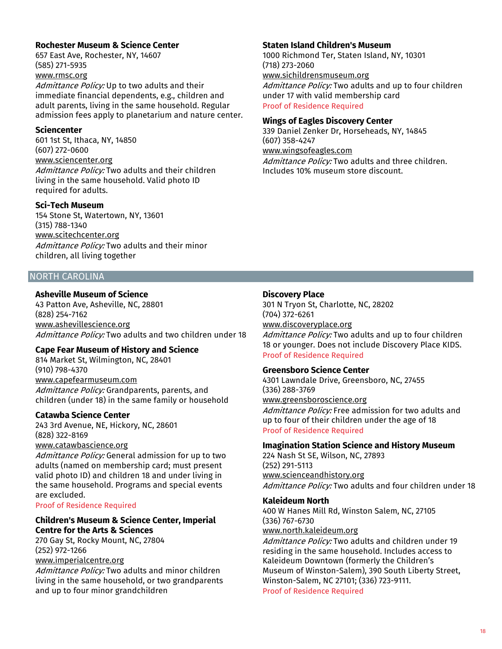# **Rochester Museum & Science Center**

657 East Ave, Rochester, NY, 14607 (585) 271-5935 www.rmsc.org

Admittance Policy: Up to two adults and their immediate financial dependents, e.g., children and adult parents, living in the same household. Regular admission fees apply to planetarium and nature center.

#### **Sciencenter**

601 1st St, Ithaca, NY, 14850 (607) 272-0600 www.sciencenter.org Admittance Policy: Two adults and their children living in the same household. Valid photo ID required for adults.

#### **Sci-Tech Museum**

154 Stone St, Watertown, NY, 13601 (315) 788-1340 www.scitechcenter.org Admittance Policy: Two adults and their minor children, all living together

# NORTH CAROLINA

#### **Asheville Museum of Science**

43 Patton Ave, Asheville, NC, 28801 (828) 254-7162 www.ashevillescience.org Admittance Policy: Two adults and two children under 18

# **Cape Fear Museum of History and Science**

814 Market St, Wilmington, NC, 28401 (910) 798-4370 www.capefearmuseum.com Admittance Policy: Grandparents, parents, and children (under 18) in the same family or household

#### **Catawba Science Center**

243 3rd Avenue, NE, Hickory, NC, 28601 (828) 322-8169 www.catawbascience.org

Admittance Policy: General admission for up to two adults (named on membership card; must present valid photo ID) and children 18 and under living in the same household. Programs and special events are excluded.

Proof of Residence Required

# **Children's Museum & Science Center, Imperial Centre for the Arts & Sciences**

270 Gay St, Rocky Mount, NC, 27804 (252) 972-1266 www.imperialcentre.org

Admittance Policy: Two adults and minor children living in the same household, or two grandparents and up to four minor grandchildren

#### **Staten Island Children's Museum**

1000 Richmond Ter, Staten Island, NY, 10301 (718) 273-2060 www.sichildrensmuseum.org Admittance Policy: Two adults and up to four children

under 17 with valid membership card

Proof of Residence Required

#### **Wings of Eagles Discovery Center**

339 Daniel Zenker Dr, Horseheads, NY, 14845 (607) 358-4247 www.wingsofeagles.com Admittance Policy: Two adults and three children. Includes 10% museum store discount.

# **Discovery Place**

301 N Tryon St, Charlotte, NC, 28202 (704) 372-6261 www.discoveryplace.org

Admittance Policy: Two adults and up to four children 18 or younger. Does not include Discovery Place KIDS. Proof of Residence Required

#### **Greensboro Science Center**

4301 Lawndale Drive, Greensboro, NC, 27455 (336) 288-3769 www.greensboroscience.org Admittance Policy: Free admission for two adults and up to four of their children under the age of 18

Proof of Residence Required

#### **Imagination Station Science and History Museum**

224 Nash St SE, Wilson, NC, 27893 (252) 291-5113 www.scienceandhistory.org Admittance Policy: Two adults and four children under 18

# **Kaleideum North**

400 W Hanes Mill Rd, Winston Salem, NC, 27105 (336) 767-6730 www.north.kaleideum.org

Admittance Policy: Two adults and children under 19 residing in the same household. Includes access to Kaleideum Downtown (formerly the Children's Museum of Winston-Salem), 390 South Liberty Street, Winston-Salem, NC 27101; (336) 723-9111. Proof of Residence Required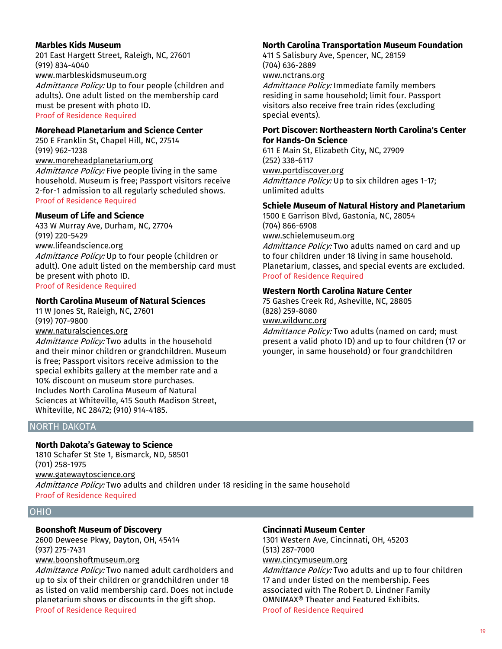#### **Marbles Kids Museum**

201 East Hargett Street, Raleigh, NC, 27601 (919) 834-4040 www.marbleskidsmuseum.org Admittance Policy: Up to four people (children and adults). One adult listed on the membership card must be present with photo ID. Proof of Residence Required

#### **Morehead Planetarium and Science Center**

250 E Franklin St, Chapel Hill, NC, 27514 (919) 962-1238

www.moreheadplanetarium.org Admittance Policy: Five people living in the same household. Museum is free; Passport visitors receive 2-for-1 admission to all regularly scheduled shows. Proof of Residence Required

#### **Museum of Life and Science**

433 W Murray Ave, Durham, NC, 27704 (919) 220-5429 www.lifeandscience.org Admittance Policy: Up to four people (children or adult). One adult listed on the membership card must be present with photo ID. Proof of Residence Required

#### **North Carolina Museum of Natural Sciences**

11 W Jones St, Raleigh, NC, 27601 (919) 707-9800 www.naturalsciences.org

Admittance Policy: Two adults in the household and their minor children or grandchildren. Museum is free; Passport visitors receive admission to the special exhibits gallery at the member rate and a 10% discount on museum store purchases. Includes North Carolina Museum of Natural Sciences at Whiteville, 415 South Madison Street, Whiteville, NC 28472; (910) 914-4185.

# NORTH DAKOTA

# **North Dakota's Gateway to Science**

1810 Schafer St Ste 1, Bismarck, ND, 58501 (701) 258-1975 www.gatewaytoscience.org Admittance Policy: Two adults and children under 18 residing in the same household Proof of Residence Required

#### OHIO

# **Boonshoft Museum of Discovery**

2600 Deweese Pkwy, Dayton, OH, 45414 (937) 275-7431 www.boonshoftmuseum.org

Admittance Policy: Two named adult cardholders and up to six of their children or grandchildren under 18 as listed on valid membership card. Does not include planetarium shows or discounts in the gift shop. Proof of Residence Required

# **North Carolina Transportation Museum Foundation**

411 S Salisbury Ave, Spencer, NC, 28159 (704) 636-2889 www.nctrans.org

Admittance Policy: Immediate family members residing in same household; limit four. Passport visitors also receive free train rides (excluding special events).

#### **Port Discover: Northeastern North Carolina's Center for Hands-On Science**

611 E Main St, Elizabeth City, NC, 27909 (252) 338-6117 www.portdiscover.org Admittance Policy: Up to six children ages 1-17; unlimited adults

#### **Schiele Museum of Natural History and Planetarium**

1500 E Garrison Blvd, Gastonia, NC, 28054 (704) 866-6908 www.schielemuseum.org

Admittance Policy: Two adults named on card and up to four children under 18 living in same household. Planetarium, classes, and special events are excluded. Proof of Residence Required

#### **Western North Carolina Nature Center**

75 Gashes Creek Rd, Asheville, NC, 28805 (828) 259-8080 www.wildwnc.org

Admittance Policy: Two adults (named on card; must present a valid photo ID) and up to four children (17 or younger, in same household) or four grandchildren

#### **Cincinnati Museum Center**

1301 Western Ave, Cincinnati, OH, 45203 (513) 287-7000 www.cincymuseum.org

Admittance Policy: Two adults and up to four children 17 and under listed on the membership. Fees associated with The Robert D. Lindner Family OMNIMAX® Theater and Featured Exhibits. Proof of Residence Required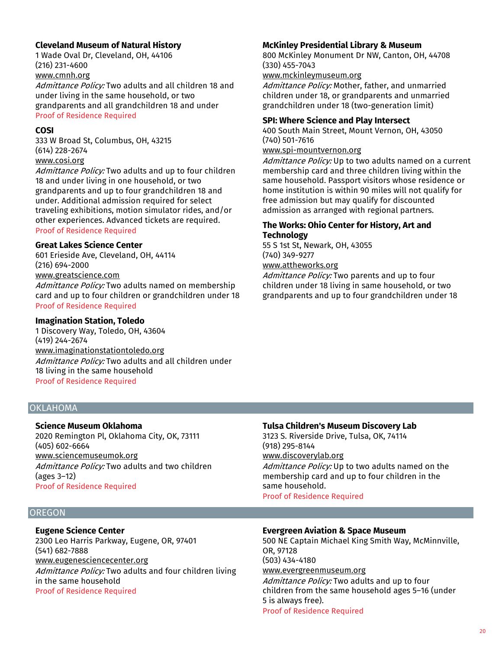# **Cleveland Museum of Natural History**

1 Wade Oval Dr, Cleveland, OH, 44106 (216) 231-4600 www.cmnh.org Admittance Policy: Two adults and all children 18 and under living in the same household, or two

grandparents and all grandchildren 18 and under Proof of Residence Required

#### **COSI**

333 W Broad St, Columbus, OH, 43215 (614) 228-2674 www.cosi.org

Admittance Policy: Two adults and up to four children 18 and under living in one household, or two grandparents and up to four grandchildren 18 and under. Additional admission required for select traveling exhibitions, motion simulator rides, and/or other experiences. Advanced tickets are required. Proof of Residence Required

#### **Great Lakes Science Center**

601 Erieside Ave, Cleveland, OH, 44114 (216) 694-2000 www.greatscience.com Admittance Policy: Two adults named on membership card and up to four children or grandchildren under 18 Proof of Residence Required

# **Imagination Station, Toledo**

1 Discovery Way, Toledo, OH, 43604 (419) 244-2674 www.imaginationstationtoledo.org Admittance Policy: Two adults and all children under 18 living in the same household Proof of Residence Required

# **McKinley Presidential Library & Museum**

800 McKinley Monument Dr NW, Canton, OH, 44708 (330) 455-7043

www.mckinleymuseum.org

Admittance Policy: Mother, father, and unmarried children under 18, or grandparents and unmarried grandchildren under 18 (two-generation limit)

# **SPI: Where Science and Play Intersect**

400 South Main Street, Mount Vernon, OH, 43050 (740) 501-7616

# www.spi-mountvernon.org

Admittance Policy: Up to two adults named on a current membership card and three children living within the same household. Passport visitors whose residence or home institution is within 90 miles will not qualify for free admission but may qualify for discounted admission as arranged with regional partners.

# **The Works: Ohio Center for History, Art and Technology**

55 S 1st St, Newark, OH, 43055 (740) 349-9277

# www.attheworks.org

Admittance Policy: Two parents and up to four children under 18 living in same household, or two grandparents and up to four grandchildren under 18

# **OKLAHOMA**

# **Science Museum Oklahoma**

2020 Remington Pl, Oklahoma City, OK, 73111 (405) 602-6664 www.sciencemuseumok.org Admittance Policy: Two adults and two children (ages 3–12) Proof of Residence Required

# **Tulsa Children's Museum Discovery Lab**

3123 S. Riverside Drive, Tulsa, OK, 74114 (918) 295-8144 www.discoverylab.org Admittance Policy: Up to two adults named on the membership card and up to four children in the same household.

Proof of Residence Required

# **OREGON**

# **Eugene Science Center**

2300 Leo Harris Parkway, Eugene, OR, 97401 (541) 682-7888 www.eugenesciencecenter.org Admittance Policy: Two adults and four children living in the same household Proof of Residence Required

# **Evergreen Aviation & Space Museum**

500 NE Captain Michael King Smith Way, McMinnville, OR, 97128 (503) 434-4180 www.evergreenmuseum.org Admittance Policy: Two adults and up to four children from the same household ages 5–16 (under 5 is always free). Proof of Residence Required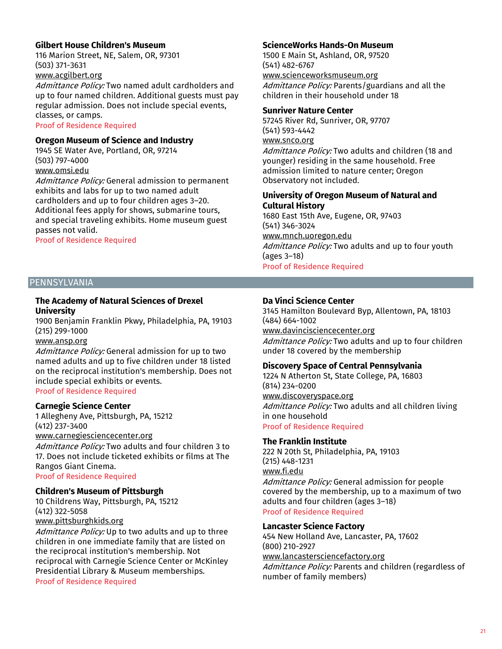# **Gilbert House Children's Museum**

116 Marion Street, NE, Salem, OR, 97301 (503) 371-3631 www.acgilbert.org

Admittance Policy: Two named adult cardholders and up to four named children. Additional guests must pay regular admission. Does not include special events, classes, or camps.

Proof of Residence Required

# **Oregon Museum of Science and Industry**

1945 SE Water Ave, Portland, OR, 97214 (503) 797-4000

www.omsi.edu

Admittance Policy: General admission to permanent exhibits and labs for up to two named adult cardholders and up to four children ages 3–20. Additional fees apply for shows, submarine tours, and special traveling exhibits. Home museum guest passes not valid.

Proof of Residence Required

# **ScienceWorks Hands-On Museum**

1500 E Main St, Ashland, OR, 97520 (541) 482-6767 www.scienceworksmuseum.org Admittance Policy: Parents/guardians and all the children in their household under 18

#### **Sunriver Nature Center**

57245 River Rd, Sunriver, OR, 97707 (541) 593-4442 www.snco.org Admittance Policy: Two adults and children (18 and younger) residing in the same household. Free

admission limited to nature center; Oregon Observatory not included.

# **University of Oregon Museum of Natural and Cultural History**

1680 East 15th Ave, Eugene, OR, 97403 (541) 346-3024 www.mnch.uoregon.edu Admittance Policy: Two adults and up to four youth (ages 3–18) Proof of Residence Required

# PENNSYLVANIA

# **The Academy of Natural Sciences of Drexel University**

1900 Benjamin Franklin Pkwy, Philadelphia, PA, 19103 (215) 299-1000

#### www.ansp.org

Admittance Policy: General admission for up to two named adults and up to five children under 18 listed on the reciprocal institution's membership. Does not include special exhibits or events. Proof of Residence Required

**Carnegie Science Center**

1 Allegheny Ave, Pittsburgh, PA, 15212 (412) 237-3400

www.carnegiesciencecenter.org

Admittance Policy: Two adults and four children 3 to 17. Does not include ticketed exhibits or films at The Rangos Giant Cinema.

Proof of Residence Required

# **Children's Museum of Pittsburgh**

10 Childrens Way, Pittsburgh, PA, 15212 (412) 322-5058 www.pittsburghkids.org

Admittance Policy: Up to two adults and up to three children in one immediate family that are listed on the reciprocal institution's membership. Not reciprocal with Carnegie Science Center or McKinley Presidential Library & Museum memberships. Proof of Residence Required

#### **Da Vinci Science Center**

3145 Hamilton Boulevard Byp, Allentown, PA, 18103 (484) 664-1002 www.davincisciencecenter.org Admittance Policy: Two adults and up to four children under 18 covered by the membership

# **Discovery Space of Central Pennsylvania**

1224 N Atherton St, State College, PA, 16803 (814) 234-0200 www.discoveryspace.org Admittance Policy: Two adults and all children living

in one household Proof of Residence Required

# **The Franklin Institute**

222 N 20th St, Philadelphia, PA, 19103 (215) 448-1231 www.fi.edu Admittance Policy: General admission for people covered by the membership, up to a maximum of two adults and four children (ages 3–18) Proof of Residence Required

**Lancaster Science Factory**

454 New Holland Ave, Lancaster, PA, 17602 (800) 210-2927 www.lancastersciencefactory.org Admittance Policy: Parents and children (regardless of number of family members)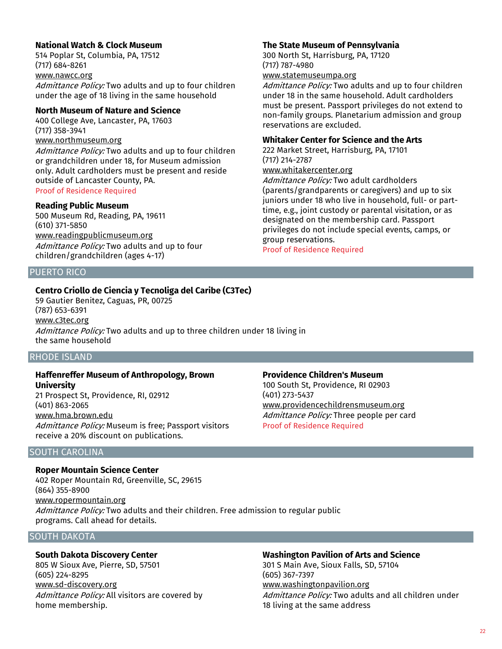# **National Watch & Clock Museum**

514 Poplar St, Columbia, PA, 17512 (717) 684-8261 www.nawcc.org Admittance Policy: Two adults and up to four children under the age of 18 living in the same household

# **North Museum of Nature and Science**

400 College Ave, Lancaster, PA, 17603 (717) 358-3941 www.northmuseum.org Admittance Policy: Two adults and up to four children or grandchildren under 18, for Museum admission only. Adult cardholders must be present and reside outside of Lancaster County, PA. Proof of Residence Required

# **Reading Public Museum**

500 Museum Rd, Reading, PA, 19611 (610) 371-5850 www.readingpublicmuseum.org Admittance Policy: Two adults and up to four children/grandchildren (ages 4-17)

# PUERTO RICO

# **Centro Criollo de Ciencia y Tecnoliga del Caribe (C3Tec)**

59 Gautier Benitez, Caguas, PR, 00725 (787) 653-6391 www.c3tec.org Admittance Policy: Two adults and up to three children under 18 living in the same household

# RHODE ISLAND

#### **Haffenreffer Museum of Anthropology, Brown University**

21 Prospect St, Providence, RI, 02912 (401) 863-2065 www.hma.brown.edu Admittance Policy: Museum is free: Passport visitors receive a 20% discount on publications.

# SOUTH CAROLINA

#### **Roper Mountain Science Center**

402 Roper Mountain Rd, Greenville, SC, 29615 (864) 355-8900 www.ropermountain.org Admittance Policy: Two adults and their children. Free admission to regular public programs. Call ahead for details.

# SOUTH DAKOTA

# **South Dakota Discovery Center**

805 W Sioux Ave, Pierre, SD, 57501 (605) 224-8295 www.sd-discovery.org Admittance Policy: All visitors are covered by home membership.

#### **The State Museum of Pennsylvania**

300 North St, Harrisburg, PA, 17120 (717) 787-4980

# www.statemuseumpa.org

Admittance Policy: Two adults and up to four children under 18 in the same household. Adult cardholders must be present. Passport privileges do not extend to non-family groups. Planetarium admission and group reservations are excluded.

#### **Whitaker Center for Science and the Arts**

222 Market Street, Harrisburg, PA, 17101 (717) 214-2787

# www.whitakercenter.org

Admittance Policy: Two adult cardholders (parents/grandparents or caregivers) and up to six juniors under 18 who live in household, full- or parttime, e.g., joint custody or parental visitation, or as designated on the membership card. Passport privileges do not include special events, camps, or group reservations.

Proof of Residence Required

#### **Providence Children's Museum**

100 South St, Providence, RI 02903 (401) 273-5437 www.providencechildrensmuseum.org Admittance Policy: Three people per card Proof of Residence Required

# **Washington Pavilion of Arts and Science**

301 S Main Ave, Sioux Falls, SD, 57104 (605) 367-7397 www.washingtonpavilion.org Admittance Policy: Two adults and all children under 18 living at the same address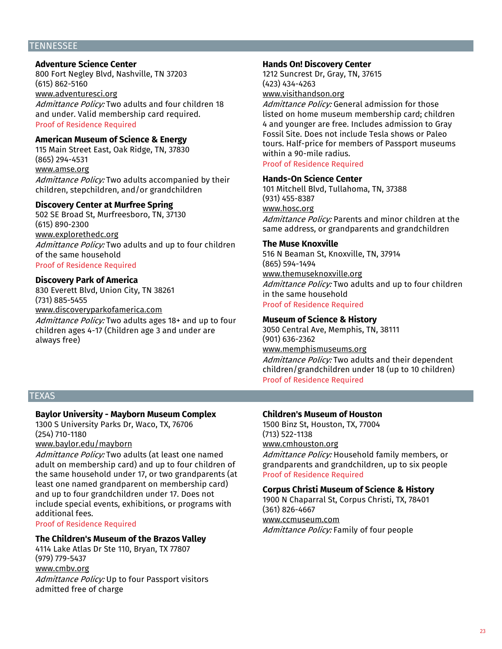#### **TENNESSEE**

# **Adventure Science Center**

800 Fort Negley Blvd, Nashville, TN 37203 (615) 862-5160 www.adventuresci.org

Admittance Policy: Two adults and four children 18 and under. Valid membership card required. Proof of Residence Required

#### **American Museum of Science & Energy**

115 Main Street East, Oak Ridge, TN, 37830 (865) 294-4531 www.amse.org Admittance Policy: Two adults accompanied by their children, stepchildren, and/or grandchildren

#### **Discovery Center at Murfree Spring**

502 SE Broad St, Murfreesboro, TN, 37130 (615) 890-2300 www.explorethedc.org Admittance Policy: Two adults and up to four children of the same household Proof of Residence Required

#### **Discovery Park of America**

830 Everett Blvd, Union City, TN 38261 (731) 885-5455 www.discoveryparkofamerica.com Admittance Policy: Two adults ages 18+ and up to four children ages 4-17 (Children age 3 and under are always free)

#### **Hands On! Discovery Center**

1212 Suncrest Dr, Gray, TN, 37615 (423) 434-4263 www.visithandson.org

Admittance Policy: General admission for those listed on home museum membership card; children 4 and younger are free. Includes admission to Gray Fossil Site. Does not include Tesla shows or Paleo tours. Half-price for members of Passport museums within a 90-mile radius. Proof of Residence Required

#### **Hands-On Science Center**

101 Mitchell Blvd, Tullahoma, TN, 37388 (931) 455-8387 www.hosc.org Admittance Policy: Parents and minor children at the same address, or grandparents and grandchildren

#### **The Muse Knoxville**

516 N Beaman St, Knoxville, TN, 37914 (865) 594-1494 www.themuseknoxville.org Admittance Policy: Two adults and up to four children in the same household Proof of Residence Required

#### **Museum of Science & History**

3050 Central Ave, Memphis, TN, 38111 (901) 636-2362 www.memphismuseums.org Admittance Policy: Two adults and their dependent children/grandchildren under 18 (up to 10 children) Proof of Residence Required

# **TEXAS**

# **Baylor University - Mayborn Museum Complex**

1300 S University Parks Dr, Waco, TX, 76706 (254) 710-1180

www.baylor.edu/mayborn

Admittance Policy: Two adults (at least one named adult on membership card) and up to four children of the same household under 17, or two grandparents (at least one named grandparent on membership card) and up to four grandchildren under 17. Does not include special events, exhibitions, or programs with additional fees.

Proof of Residence Required

#### **The Children's Museum of the Brazos Valley**

4114 Lake Atlas Dr Ste 110, Bryan, TX 77807 (979) 779-5437 www.cmbv.org Admittance Policy: Up to four Passport visitors admitted free of charge

#### **Children's Museum of Houston**

1500 Binz St, Houston, TX, 77004 (713) 522-1138 www.cmhouston.org Admittance Policy: Household family members, or grandparents and grandchildren, up to six people Proof of Residence Required

#### **Corpus Christi Museum of Science & History**

1900 N Chaparral St, Corpus Christi, TX, 78401 (361) 826-4667 www.ccmuseum.com Admittance Policy: Family of four people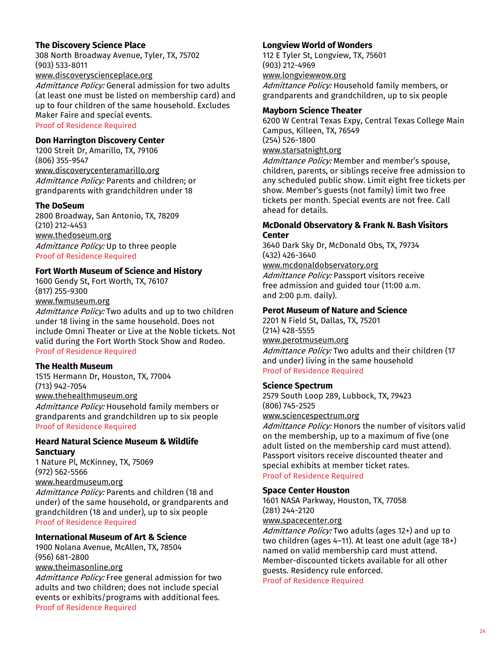# **The Discovery Science Place**

308 North Broadway Avenue, Tyler, TX, 75702 (903) 533-8011

www.discoveryscienceplace.org

Admittance Policy: General admission for two adults (at least one must be listed on membership card) and up to four children of the same household. Excludes Maker Faire and special events.

Proof of Residence Required

# **Don Harrington Discovery Center**

1200 Streit Dr, Amarillo, TX, 79106 (806) 355-9547 www.discoverycenteramarillo.org Admittance Policy: Parents and children; or grandparents with grandchildren under 18

#### **The DoSeum**

2800 Broadway, San Antonio, TX, 78209 (210) 212-4453 www.thedoseum.org Admittance Policy: Up to three people Proof of Residence Required

# **Fort Worth Museum of Science and History**

1600 Gendy St, Fort Worth, TX, 76107 (817) 255-9300 www.fwmuseum.org

Admittance Policy: Two adults and up to two children under 18 living in the same household. Does not include Omni Theater or Live at the Noble tickets. Not valid during the Fort Worth Stock Show and Rodeo. Proof of Residence Required

# **The Health Museum**

1515 Hermann Dr, Houston, TX, 77004 (713) 942-7054 www.thehealthmuseum.org Admittance Policy: Household family members or grandparents and grandchildren up to six people Proof of Residence Required

# **Heard Natural Science Museum & Wildlife Sanctuary**

1 Nature Pl, McKinney, TX, 75069 (972) 562-5566 www.heardmuseum.org

Admittance Policy: Parents and children (18 and under) of the same household, or grandparents and grandchildren (18 and under), up to six people Proof of Residence Required

# **International Museum of Art & Science**

1900 Nolana Avenue, McAllen, TX, 78504 (956) 681-2800 www.theimasonline.org

Admittance Policy: Free general admission for two adults and two children; does not include special events or exhibits/programs with additional fees. Proof of Residence Required

#### **Longview World of Wonders**

112 E Tyler St, Longview, TX, 75601 (903) 212-4969 www.longviewwow.org

Admittance Policy: Household family members, or grandparents and grandchildren, up to six people

#### **Mayborn Science Theater**

6200 W Central Texas Expy, Central Texas College Main Campus, Killeen, TX, 76549 (254) 526-1800 www.starsatnight.org Admittance Policy: Member and member's spouse,

children, parents, or siblings receive free admission to any scheduled public show. Limit eight free tickets per show. Member's guests (not family) limit two free tickets per month. Special events are not free. Call ahead for details.

# **McDonald Observatory & Frank N. Bash Visitors Center**

3640 Dark Sky Dr, McDonald Obs, TX, 79734 (432) 426-3640

www.mcdonaldobservatory.org

Admittance Policy: Passport visitors receive free admission and guided tour (11:00 a.m. and 2:00 p.m. daily).

#### **Perot Museum of Nature and Science**

2201 N Field St, Dallas, TX, 75201 (214) 428-5555 www.perotmuseum.org Admittance Policy: Two adults and their children (17 and under) living in the same household Proof of Residence Required

# **Science Spectrum**

2579 South Loop 289, Lubbock, TX, 79423 (806) 745-2525 www.sciencespectrum.org

Admittance Policy: Honors the number of visitors valid on the membership, up to a maximum of five (one adult listed on the membership card must attend). Passport visitors receive discounted theater and special exhibits at member ticket rates. Proof of Residence Required

# **Space Center Houston**

1601 NASA Parkway, Houston, TX, 77058 (281) 244-2120 www.spacecenter.org

Admittance Policy: Two adults (ages 12+) and up to two children (ages 4–11). At least one adult (age 18+) named on valid membership card must attend. Member-discounted tickets available for all other guests. Residency rule enforced. Proof of Residence Required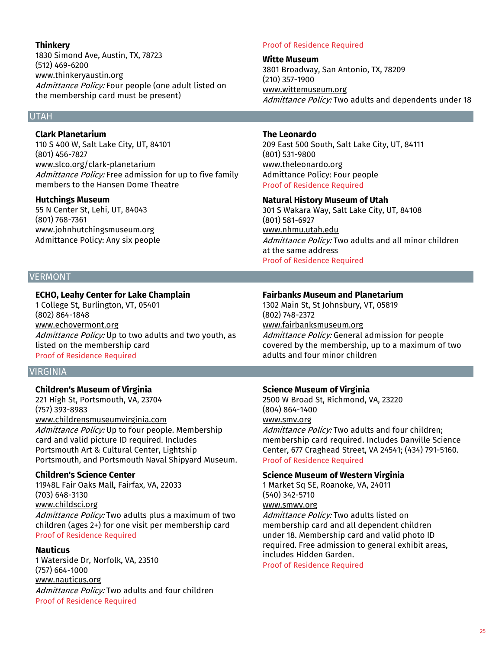# **Thinkery**

1830 Simond Ave, Austin, TX, 78723 (512) 469-6200 www.thinkeryaustin.org Admittance Policy: Four people (one adult listed on the membership card must be present)

# UTAH

# **Clark Planetarium**

110 S 400 W, Salt Lake City, UT, 84101 (801) 456-7827 www.slco.org/clark-planetarium Admittance Policy: Free admission for up to five family members to the Hansen Dome Theatre

#### **Hutchings Museum**

55 N Center St, Lehi, UT, 84043 (801) 768-7361 www.johnhutchingsmuseum.org Admittance Policy: Any six people

# VERMONT

# **ECHO, Leahy Center for Lake Champlain**

1 College St, Burlington, VT, 05401 (802) 864-1848 www.echovermont.org Admittance Policy: Up to two adults and two youth, as listed on the membership card Proof of Residence Required

# **VIRGINIA**

# **Children's Museum of Virginia**

221 High St, Portsmouth, VA, 23704 (757) 393-8983 www.childrensmuseumvirginia.com Admittance Policy: Up to four people. Membership card and valid picture ID required. Includes Portsmouth Art & Cultural Center, Lightship Portsmouth, and Portsmouth Naval Shipyard Museum.

# **Children's Science Center**

11948L Fair Oaks Mall, Fairfax, VA, 22033 (703) 648-3130 www.childsci.org Admittance Policy: Two adults plus a maximum of two children (ages 2+) for one visit per membership card Proof of Residence Required

# **Nauticus**

1 Waterside Dr, Norfolk, VA, 23510 (757) 664-1000 www.nauticus.org Admittance Policy: Two adults and four children Proof of Residence Required

#### Proof of Residence Required

**Witte Museum** 3801 Broadway, San Antonio, TX, 78209 (210) 357-1900 www.wittemuseum.org Admittance Policy: Two adults and dependents under 18

#### **The Leonardo**

209 East 500 South, Salt Lake City, UT, 84111 (801) 531-9800 www.theleonardo.org Admittance Policy: Four people Proof of Residence Required

## **Natural History Museum of Utah**

301 S Wakara Way, Salt Lake City, UT, 84108 (801) 581-6927 www.nhmu.utah.edu Admittance Policy: Two adults and all minor children at the same address Proof of Residence Required

# **Fairbanks Museum and Planetarium**

1302 Main St, St Johnsbury, VT, 05819 (802) 748-2372 www.fairbanksmuseum.org Admittance Policy: General admission for people covered by the membership, up to a maximum of two adults and four minor children

# **Science Museum of Virginia**

2500 W Broad St, Richmond, VA, 23220 (804) 864-1400 www.smv.org

Admittance Policy: Two adults and four children; membership card required. Includes Danville Science Center, 677 Craghead Street, VA 24541; (434) 791-5160. Proof of Residence Required

# **Science Museum of Western Virginia**

1 Market Sq SE, Roanoke, VA, 24011 (540) 342-5710 www.smwv.org

Admittance Policy: Two adults listed on membership card and all dependent children under 18. Membership card and valid photo ID required. Free admission to general exhibit areas, includes Hidden Garden.

Proof of Residence Required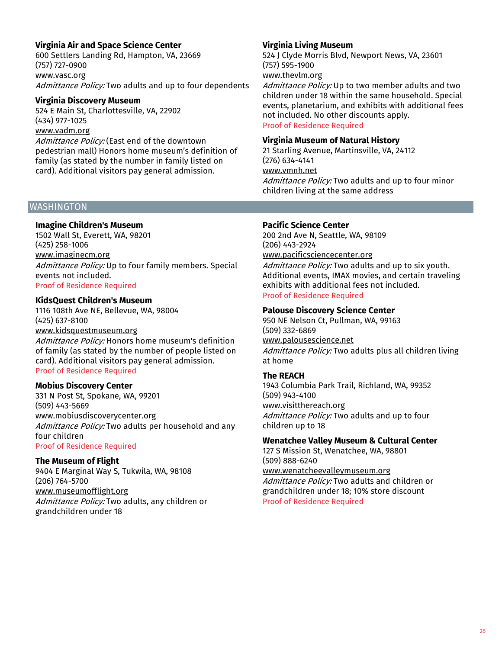# **Virginia Air and Space Science Center**

600 Settlers Landing Rd, Hampton, VA, 23669 (757) 727-0900 www.vasc.org Admittance Policy: Two adults and up to four dependents

#### **Virginia Discovery Museum**

524 E Main St, Charlottesville, VA, 22902 (434) 977-1025 www.vadm.org

Admittance Policy: (East end of the downtown pedestrian mall) Honors home museum's definition of family (as stated by the number in family listed on card). Additional visitors pay general admission.

# **WASHINGTON**

## **Imagine Children's Museum**

1502 Wall St, Everett, WA, 98201 (425) 258-1006 www.imaginecm.org Admittance Policy: Up to four family members. Special events not included. Proof of Residence Required

#### **KidsQuest Children's Museum**

1116 108th Ave NE, Bellevue, WA, 98004 (425) 637-8100 www.kidsquestmuseum.org Admittance Policy: Honors home museum's definition of family (as stated by the number of people listed on card). Additional visitors pay general admission. Proof of Residence Required

# **Mobius Discovery Center**

331 N Post St, Spokane, WA, 99201 (509) 443-5669 www.mobiusdiscoverycenter.org Admittance Policy: Two adults per household and any four children Proof of Residence Required

#### **The Museum of Flight**

9404 E Marginal Way S, Tukwila, WA, 98108 (206) 764-5700 www.museumofflight.org Admittance Policy: Two adults, any children or grandchildren under 18

# **Virginia Living Museum**

524 J Clyde Morris Blvd, Newport News, VA, 23601 (757) 595-1900

# www.thevlm.org

Admittance Policy: Up to two member adults and two children under 18 within the same household. Special events, planetarium, and exhibits with additional fees not included. No other discounts apply. Proof of Residence Required

#### **Virginia Museum of Natural History**

21 Starling Avenue, Martinsville, VA, 24112 (276) 634-4141 www.vmnh.net Admittance Policy: Two adults and up to four minor children living at the same address

# **Pacific Science Center**

200 2nd Ave N, Seattle, WA, 98109 (206) 443-2924 www.pacificsciencecenter.org Admittance Policy: Two adults and up to six youth. Additional events, IMAX movies, and certain traveling exhibits with additional fees not included. Proof of Residence Required

# **Palouse Discovery Science Center**

950 NE Nelson Ct, Pullman, WA, 99163 (509) 332-6869 www.palousescience.net Admittance Policy: Two adults plus all children living at home

# **The REACH**

1943 Columbia Park Trail, Richland, WA, 99352 (509) 943-4100 www.visitthereach.org Admittance Policy: Two adults and up to four children up to 18

#### **Wenatchee Valley Museum & Cultural Center**

127 S Mission St, Wenatchee, WA, 98801 (509) 888-6240 www.wenatcheevalleymuseum.org

Admittance Policy: Two adults and children or grandchildren under 18; 10% store discount Proof of Residence Required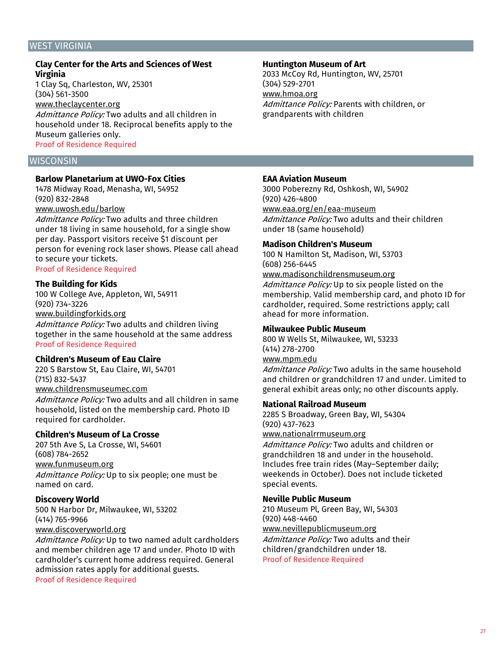#### WEST VIRGINIA

# **Clay Center for the Arts and Sciences of West Virginia**

1 Clay Sq, Charleston, WV, 25301 (304) 561-3500 www.theclaycenter.org Admittance Policy: Two adults and all children in household under 18. Reciprocal benefits apply to the Museum galleries only. Proof of Residence Required

# **WISCONSIN**

#### **Barlow Planetarium at UWO-Fox Cities**

1478 Midway Road, Menasha, WI, 54952 (920) 832-2848 www.uwosh.edu/barlow

Admittance Policy: Two adults and three children under 18 living in same household, for a single show per day. Passport visitors receive \$1 discount per person for evening rock laser shows. Please call ahead to secure your tickets.

Proof of Residence Required

# **The Building for Kids**

100 W College Ave, Appleton, WI, 54911 (920) 734-3226 www.buildingforkids.org

Admittance Policy: Two adults and children living together in the same household at the same address Proof of Residence Required

#### **Children's Museum of Eau Claire**

220 S Barstow St, Eau Claire, WI, 54701 (715) 832-5437 www.childrensmuseumec.com Admittance Policy: Two adults and all children in same household, listed on the membership card. Photo ID

#### **Children's Museum of La Crosse**

required for cardholder.

207 5th Ave S, La Crosse, WI, 54601 (608) 784-2652 www.funmuseum.org Admittance Policy: Up to six people; one must be named on card.

#### **Discovery World**

500 N Harbor Dr, Milwaukee, WI, 53202 (414) 765-9966 www.discoveryworld.org

Admittance Policy: Up to two named adult cardholders

and member children age 17 and under. Photo ID with cardholder's current home address required. General admission rates apply for additional guests.

Proof of Residence Required

# **Huntington Museum of Art**

2033 McCoy Rd, Huntington, WV, 25701 (304) 529-2701 www.hmoa.org Admittance Policy: Parents with children, or grandparents with children

#### **EAA Aviation Museum**

3000 Poberezny Rd, Oshkosh, WI, 54902 (920) 426-4800 www.eaa.org/en/eaa-museum

Admittance Policy: Two adults and their children under 18 (same household)

#### **Madison Children's Museum**

100 N Hamilton St, Madison, WI, 53703 (608) 256-6445 www.madisonchildrensmuseum.org Admittance Policy: Up to six people listed on the

membership. Valid membership card, and photo ID for cardholder, required. Some restrictions apply; call ahead for more information.

#### **Milwaukee Public Museum**

800 W Wells St, Milwaukee, WI, 53233 (414) 278-2700 www.mpm.edu

Admittance Policy: Two adults in the same household and children or grandchildren 17 and under. Limited to general exhibit areas only; no other discounts apply.

#### **National Railroad Museum**

2285 S Broadway, Green Bay, WI, 54304 (920) 437-7623 www.nationalrrmuseum.org

Admittance Policy: Two adults and children or grandchildren 18 and under in the household. Includes free train rides (May–September daily; weekends in October). Does not include ticketed special events.

#### **Neville Public Museum**

210 Museum Pl, Green Bay, WI, 54303 (920) 448-4460 www.nevillepublicmuseum.org Admittance Policy: Two adults and their children/grandchildren under 18. Proof of Residence Required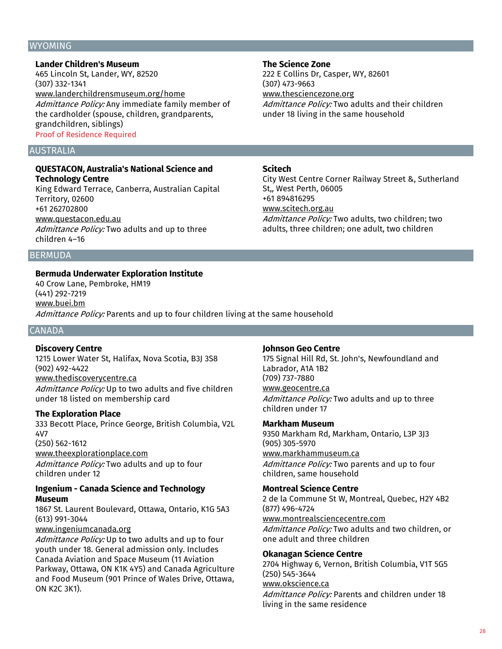#### WYOMING

**Lander Children's Museum** 465 Lincoln St, Lander, WY, 82520 (307) 332-1341 www.landerchildrensmuseum.org/home Admittance Policy: Any immediate family member of the cardholder (spouse, children, grandparents, grandchildren, siblings) Proof of Residence Required

#### AUSTRALIA

# **QUESTACON, Australia's National Science and Technology Centre**

King Edward Terrace, Canberra, Australian Capital Territory, 02600 +61 262702800 www.questacon.edu.au Admittance Policy: Two adults and up to three children 4–16

**BERMUDA** 

#### **Bermuda Underwater Exploration Institute**

40 Crow Lane, Pembroke, HM19 (441) 292-7219 www.buei.bm Admittance Policy: Parents and up to four children living at the same household

# CANADA

#### **Discovery Centre**

1215 Lower Water St, Halifax, Nova Scotia, B3J 3S8 (902) 492-4422 www.thediscoverycentre.ca Admittance Policy: Up to two adults and five children under 18 listed on membership card

#### **The Exploration Place**

children under 12

333 Becott Place, Prince George, British Columbia, V2L 4V7 (250) 562-1612 www.theexplorationplace.com Admittance Policy: Two adults and up to four

# **Ingenium - Canada Science and Technology Museum**

1867 St. Laurent Boulevard, Ottawa, Ontario, K1G 5A3 (613) 991-3044

#### www.ingeniumcanada.org

Admittance Policy: Up to two adults and up to four youth under 18. General admission only. Includes Canada Aviation and Space Museum (11 Aviation Parkway, Ottawa, ON K1K 4Y5) and Canada Agriculture and Food Museum (901 Prince of Wales Drive, Ottawa, ON K2C 3K1).

#### **The Science Zone**

222 E Collins Dr, Casper, WY, 82601 (307) 473-9663 www.thesciencezone.org

Admittance Policy: Two adults and their children under 18 living in the same household

#### **Scitech**

City West Centre Corner Railway Street &, Sutherland St,, West Perth, 06005 +61 894816295 www.scitech.org.au Admittance Policy: Two adults, two children; two adults, three children; one adult, two children

#### **Johnson Geo Centre**

175 Signal Hill Rd, St. John's, Newfoundland and Labrador, A1A 1B2 (709) 737-7880 www.geocentre.ca Admittance Policy: Two adults and up to three children under 17

#### **Markham Museum**

9350 Markham Rd, Markham, Ontario, L3P 3J3 (905) 305-5970 www.markhammuseum.ca Admittance Policy: Two parents and up to four children, same household

#### **Montreal Science Centre**

2 de la Commune St W, Montreal, Quebec, H2Y 4B2 (877) 496-4724 www.montrealsciencecentre.com Admittance Policy: Two adults and two children, or one adult and three children

#### **Okanagan Science Centre**

2704 Highway 6, Vernon, British Columbia, V1T 5G5 (250) 545-3644 www.okscience.ca Admittance Policy: Parents and children under 18 living in the same residence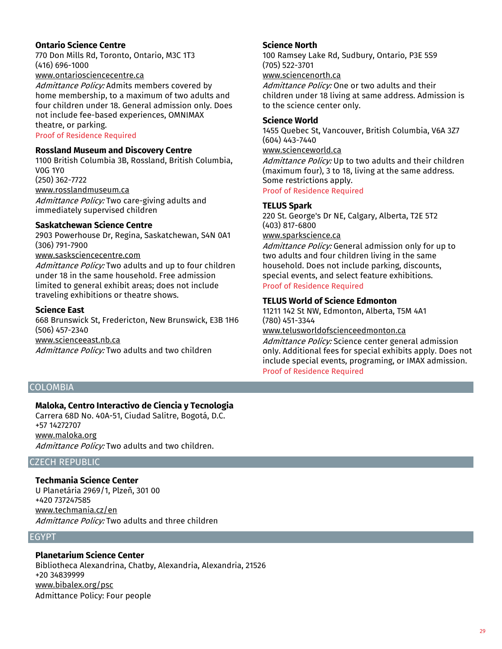# **Ontario Science Centre**

770 Don Mills Rd, Toronto, Ontario, M3C 1T3 (416) 696-1000

# www.ontariosciencecentre.ca

Admittance Policy: Admits members covered by home membership, to a maximum of two adults and four children under 18. General admission only. Does not include fee-based experiences, OMNIMAX theatre, or parking.

Proof of Residence Required

# **Rossland Museum and Discovery Centre**

1100 British Columbia 3B, Rossland, British Columbia, V0G 1Y0 (250) 362-7722 www.rosslandmuseum.ca Admittance Policy: Two care-giving adults and

immediately supervised children

# **Saskatchewan Science Centre**

2903 Powerhouse Dr, Regina, Saskatchewan, S4N 0A1 (306) 791-7900 www.sasksciencecentre.com

Admittance Policy: Two adults and up to four children under 18 in the same household. Free admission limited to general exhibit areas; does not include traveling exhibitions or theatre shows.

#### **Science East**

668 Brunswick St, Fredericton, New Brunswick, E3B 1H6 (506) 457-2340 www.scienceeast.nb.ca Admittance Policy: Two adults and two children

# **Science North**

100 Ramsey Lake Rd, Sudbury, Ontario, P3E 5S9 (705) 522-3701

www.sciencenorth.ca

Admittance Policy: One or two adults and their children under 18 living at same address. Admission is to the science center only.

#### **Science World**

1455 Quebec St, Vancouver, British Columbia, V6A 3Z7 (604) 443-7440 www.scienceworld.ca Admittance Policy: Up to two adults and their children (maximum four), 3 to 18, living at the same address. Some restrictions apply.

Proof of Residence Required

# **TELUS Spark**

220 St. George's Dr NE, Calgary, Alberta, T2E 5T2 (403) 817-6800

#### www.sparkscience.ca

Admittance Policy: General admission only for up to two adults and four children living in the same household. Does not include parking, discounts, special events, and select feature exhibitions. Proof of Residence Required

#### **TELUS World of Science Edmonton**

11211 142 St NW, Edmonton, Alberta, T5M 4A1 (780) 451-3344

www.telusworldofscienceedmonton.ca

Admittance Policy: Science center general admission only. Additional fees for special exhibits apply. Does not include special events, programing, or IMAX admission. Proof of Residence Required

## COLOMBIA

# **Maloka, Centro Interactivo de Ciencia y Tecnologia**

Carrera 68D No. 40A-51, Ciudad Salitre, Bogotá, D.C. +57 14272707 www.maloka.org Admittance Policy: Two adults and two children.

# CZECH REPUBLIC

#### **Techmania Science Center**

U Planetária 2969/1, Plzeň, 301 00 +420 737247585 www.techmania.cz/en Admittance Policy: Two adults and three children

# EGYPT

# **Planetarium Science Center**

Bibliotheca Alexandrina, Chatby, Alexandria, Alexandria, 21526 +20 34839999 www.bibalex.org/psc Admittance Policy: Four people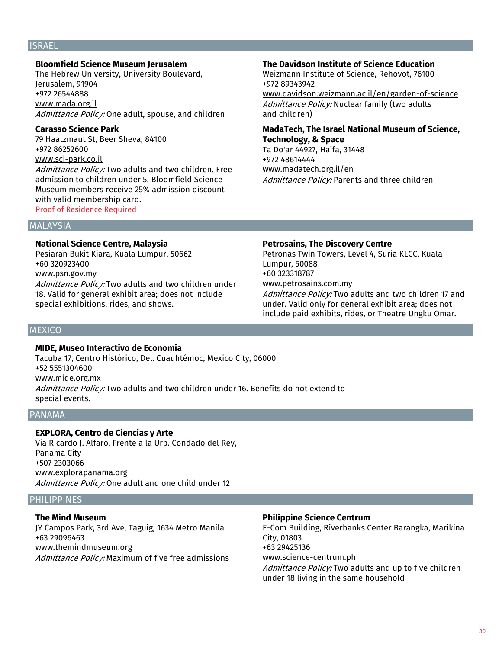# ISRAEL

#### **Bloomfield Science Museum Jerusalem**

The Hebrew University, University Boulevard, Jerusalem, 91904 +972 26544888 www.mada.org.il Admittance Policy: One adult, spouse, and children

#### **Carasso Science Park**

79 Haatzmaut St, Beer Sheva, 84100 +972 86252600 www.sci-park.co.il Admittance Policy: Two adults and two children. Free admission to children under 5. Bloomfield Science Museum members receive 25% admission discount with valid membership card.

#### Proof of Residence Required

#### **The Davidson Institute of Science Education**

Weizmann Institute of Science, Rehovot, 76100 +972 89343942 www.davidson.weizmann.ac.il/en/garden-of-science Admittance Policy: Nuclear family (two adults and children)

# **MadaTech, The Israel National Museum of Science, Technology, & Space**

Ta Do'ar 44927, Haifa, 31448 +972 48614444 www.madatech.org.il/en Admittance Policy: Parents and three children

#### **MALAYSIA**

#### **National Science Centre, Malaysia**

Pesiaran Bukit Kiara, Kuala Lumpur, 50662 +60 320923400 www.psn.gov.my Admittance Policy: Two adults and two children under 18. Valid for general exhibit area; does not include special exhibitions, rides, and shows.

#### **Petrosains, The Discovery Centre**

Petronas Twin Towers, Level 4, Suria KLCC, Kuala Lumpur, 50088 +60 323318787 www.petrosains.com.my Admittance Policy: Two adults and two children 17 and under. Valid only for general exhibit area; does not

include paid exhibits, rides, or Theatre Ungku Omar.

# **MEXICO**

# **MIDE, Museo Interactivo de Economia**

Tacuba 17, Centro Histórico, Del. Cuauhtémoc, Mexico City, 06000 +52 5551304600 www.mide.org.mx Admittance Policy: Two adults and two children under 16. Benefits do not extend to special events.

#### PANAMA

# **EXPLORA, Centro de Ciencias y Arte**

Via Ricardo J. Alfaro, Frente a la Urb. Condado del Rey, Panama City +507 2303066 www.explorapanama.org Admittance Policy: One adult and one child under 12

#### PHILIPPINES

#### **The Mind Museum**

JY Campos Park, 3rd Ave, Taguig, 1634 Metro Manila +63 29096463 www.themindmuseum.org

Admittance Policy: Maximum of five free admissions

# **Philippine Science Centrum**

E-Com Building, Riverbanks Center Barangka, Marikina City, 01803 +63 29425136 www.science-centrum.ph Admittance Policy: Two adults and up to five children

under 18 living in the same household

#### 30